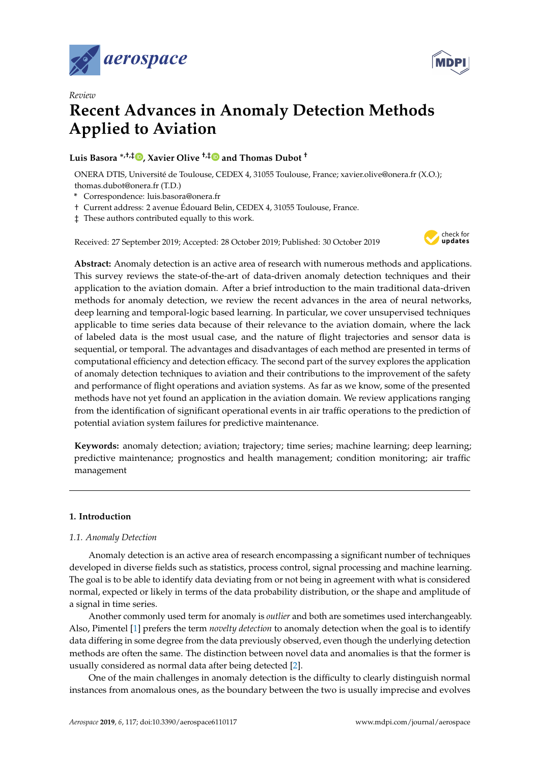



# *Review* **Recent Advances in Anomaly Detection Methods Applied to Aviation**

# **Luis Basora** <sup>∗</sup>**,†,‡ [,](https://orcid.org/0000-0002-5651-4663) Xavier Olive †,[‡](https://orcid.org/0000-0002-2335-5774) and Thomas Dubot †**

ONERA DTIS, Université de Toulouse, CEDEX 4, 31055 Toulouse, France; xavier.olive@onera.fr (X.O.); thomas.dubot@onera.fr (T.D.)

- **\*** Correspondence: luis.basora@onera.fr
- † Current address: 2 avenue Édouard Belin, CEDEX 4, 31055 Toulouse, France.
- ‡ These authors contributed equally to this work.

Received: 27 September 2019; Accepted: 28 October 2019; Published: 30 October 2019



**Abstract:** Anomaly detection is an active area of research with numerous methods and applications. This survey reviews the state-of-the-art of data-driven anomaly detection techniques and their application to the aviation domain. After a brief introduction to the main traditional data-driven methods for anomaly detection, we review the recent advances in the area of neural networks, deep learning and temporal-logic based learning. In particular, we cover unsupervised techniques applicable to time series data because of their relevance to the aviation domain, where the lack of labeled data is the most usual case, and the nature of flight trajectories and sensor data is sequential, or temporal. The advantages and disadvantages of each method are presented in terms of computational efficiency and detection efficacy. The second part of the survey explores the application of anomaly detection techniques to aviation and their contributions to the improvement of the safety and performance of flight operations and aviation systems. As far as we know, some of the presented methods have not yet found an application in the aviation domain. We review applications ranging from the identification of significant operational events in air traffic operations to the prediction of potential aviation system failures for predictive maintenance.

**Keywords:** anomaly detection; aviation; trajectory; time series; machine learning; deep learning; predictive maintenance; prognostics and health management; condition monitoring; air traffic management

# **1. Introduction**

## *1.1. Anomaly Detection*

Anomaly detection is an active area of research encompassing a significant number of techniques developed in diverse fields such as statistics, process control, signal processing and machine learning. The goal is to be able to identify data deviating from or not being in agreement with what is considered normal, expected or likely in terms of the data probability distribution, or the shape and amplitude of a signal in time series.

Another commonly used term for anomaly is *outlier* and both are sometimes used interchangeably. Also, Pimentel [\[1\]](#page-20-0) prefers the term *novelty detection* to anomaly detection when the goal is to identify data differing in some degree from the data previously observed, even though the underlying detection methods are often the same. The distinction between novel data and anomalies is that the former is usually considered as normal data after being detected [\[2\]](#page-20-1).

One of the main challenges in anomaly detection is the difficulty to clearly distinguish normal instances from anomalous ones, as the boundary between the two is usually imprecise and evolves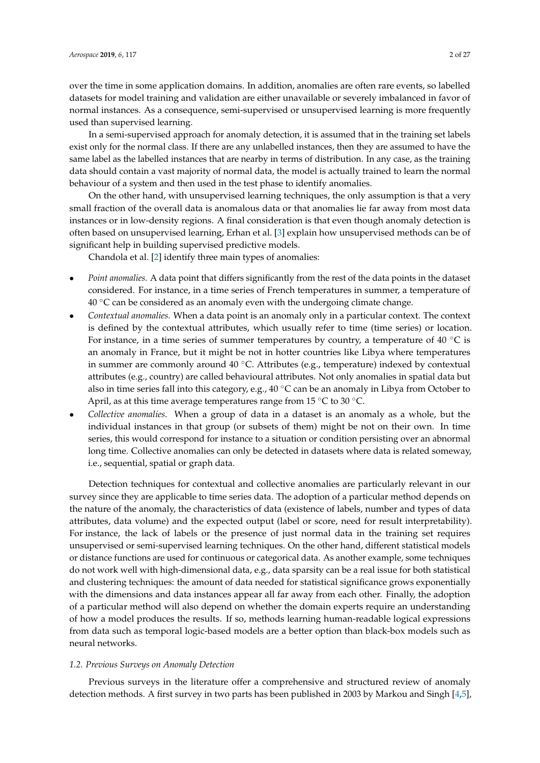over the time in some application domains. In addition, anomalies are often rare events, so labelled datasets for model training and validation are either unavailable or severely imbalanced in favor of normal instances. As a consequence, semi-supervised or unsupervised learning is more frequently used than supervised learning.

In a semi-supervised approach for anomaly detection, it is assumed that in the training set labels exist only for the normal class. If there are any unlabelled instances, then they are assumed to have the same label as the labelled instances that are nearby in terms of distribution. In any case, as the training data should contain a vast majority of normal data, the model is actually trained to learn the normal behaviour of a system and then used in the test phase to identify anomalies.

On the other hand, with unsupervised learning techniques, the only assumption is that a very small fraction of the overall data is anomalous data or that anomalies lie far away from most data instances or in low-density regions. A final consideration is that even though anomaly detection is often based on unsupervised learning, Erhan et al. [\[3\]](#page-20-2) explain how unsupervised methods can be of significant help in building supervised predictive models.

Chandola et al. [\[2\]](#page-20-1) identify three main types of anomalies:

- *Point anomalies.* A data point that differs significantly from the rest of the data points in the dataset considered. For instance, in a time series of French temperatures in summer, a temperature of  $40 °C$  can be considered as an anomaly even with the undergoing climate change.
- *Contextual anomalies.* When a data point is an anomaly only in a particular context. The context is defined by the contextual attributes, which usually refer to time (time series) or location. For instance, in a time series of summer temperatures by country, a temperature of 40  $\degree$ C is an anomaly in France, but it might be not in hotter countries like Libya where temperatures in summer are commonly around 40 ◦C. Attributes (e.g., temperature) indexed by contextual attributes (e.g., country) are called behavioural attributes. Not only anomalies in spatial data but also in time series fall into this category, e.g.,  $40\degree C$  can be an anomaly in Libya from October to April, as at this time average temperatures range from 15  $\mathrm{°C}$  to 30  $\mathrm{°C}$ .
- *Collective anomalies.* When a group of data in a dataset is an anomaly as a whole, but the individual instances in that group (or subsets of them) might be not on their own. In time series, this would correspond for instance to a situation or condition persisting over an abnormal long time. Collective anomalies can only be detected in datasets where data is related someway, i.e., sequential, spatial or graph data.

Detection techniques for contextual and collective anomalies are particularly relevant in our survey since they are applicable to time series data. The adoption of a particular method depends on the nature of the anomaly, the characteristics of data (existence of labels, number and types of data attributes, data volume) and the expected output (label or score, need for result interpretability). For instance, the lack of labels or the presence of just normal data in the training set requires unsupervised or semi-supervised learning techniques. On the other hand, different statistical models or distance functions are used for continuous or categorical data. As another example, some techniques do not work well with high-dimensional data, e.g., data sparsity can be a real issue for both statistical and clustering techniques: the amount of data needed for statistical significance grows exponentially with the dimensions and data instances appear all far away from each other. Finally, the adoption of a particular method will also depend on whether the domain experts require an understanding of how a model produces the results. If so, methods learning human-readable logical expressions from data such as temporal logic-based models are a better option than black-box models such as neural networks.

#### *1.2. Previous Surveys on Anomaly Detection*

Previous surveys in the literature offer a comprehensive and structured review of anomaly detection methods. A first survey in two parts has been published in 2003 by Markou and Singh [\[4](#page-20-3)[,5\]](#page-20-4),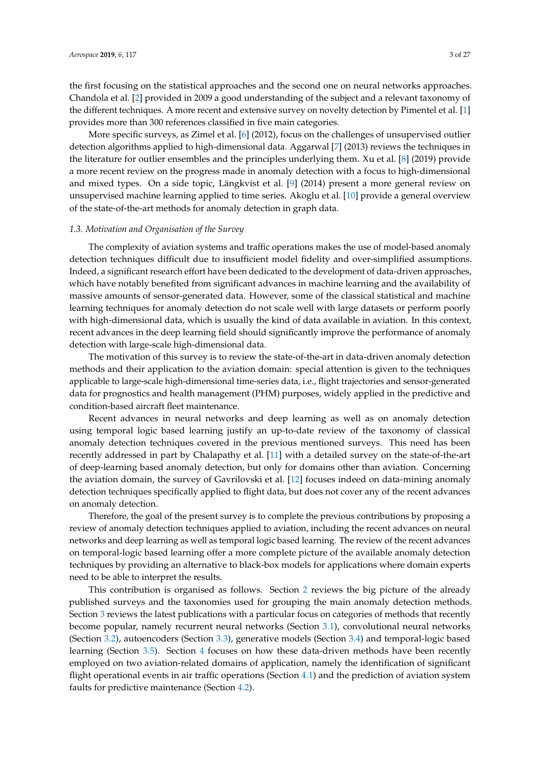the first focusing on the statistical approaches and the second one on neural networks approaches. Chandola et al. [\[2\]](#page-20-1) provided in 2009 a good understanding of the subject and a relevant taxonomy of the different techniques. A more recent and extensive survey on novelty detection by Pimentel et al. [\[1\]](#page-20-0) provides more than 300 references classified in five main categories.

More specific surveys, as Zimel et al. [\[6\]](#page-20-5) (2012), focus on the challenges of unsupervised outlier detection algorithms applied to high-dimensional data. Aggarwal [\[7\]](#page-20-6) (2013) reviews the techniques in the literature for outlier ensembles and the principles underlying them. Xu et al. [\[8\]](#page-20-7) (2019) provide a more recent review on the progress made in anomaly detection with a focus to high-dimensional and mixed types. On a side topic, Längkvist et al. [\[9\]](#page-20-8) (2014) present a more general review on unsupervised machine learning applied to time series. Akoglu et al. [\[10\]](#page-20-9) provide a general overview of the state-of-the-art methods for anomaly detection in graph data.

# *1.3. Motivation and Organisation of the Survey*

The complexity of aviation systems and traffic operations makes the use of model-based anomaly detection techniques difficult due to insufficient model fidelity and over-simplified assumptions. Indeed, a significant research effort have been dedicated to the development of data-driven approaches, which have notably benefited from significant advances in machine learning and the availability of massive amounts of sensor-generated data. However, some of the classical statistical and machine learning techniques for anomaly detection do not scale well with large datasets or perform poorly with high-dimensional data, which is usually the kind of data available in aviation. In this context, recent advances in the deep learning field should significantly improve the performance of anomaly detection with large-scale high-dimensional data.

The motivation of this survey is to review the state-of-the-art in data-driven anomaly detection methods and their application to the aviation domain: special attention is given to the techniques applicable to large-scale high-dimensional time-series data, i.e., flight trajectories and sensor-generated data for prognostics and health management (PHM) purposes, widely applied in the predictive and condition-based aircraft fleet maintenance.

Recent advances in neural networks and deep learning as well as on anomaly detection using temporal logic based learning justify an up-to-date review of the taxonomy of classical anomaly detection techniques covered in the previous mentioned surveys. This need has been recently addressed in part by Chalapathy et al. [\[11\]](#page-20-10) with a detailed survey on the state-of-the-art of deep-learning based anomaly detection, but only for domains other than aviation. Concerning the aviation domain, the survey of Gavrilovski et al. [\[12\]](#page-20-11) focuses indeed on data-mining anomaly detection techniques specifically applied to flight data, but does not cover any of the recent advances on anomaly detection.

Therefore, the goal of the present survey is to complete the previous contributions by proposing a review of anomaly detection techniques applied to aviation, including the recent advances on neural networks and deep learning as well as temporal logic based learning. The review of the recent advances on temporal-logic based learning offer a more complete picture of the available anomaly detection techniques by providing an alternative to black-box models for applications where domain experts need to be able to interpret the results.

This contribution is organised as follows. Section [2](#page-3-0) reviews the big picture of the already published surveys and the taxonomies used for grouping the main anomaly detection methods. Section [3](#page-7-0) reviews the latest publications with a particular focus on categories of methods that recently become popular, namely recurrent neural networks (Section [3.1\)](#page-8-0), convolutional neural networks (Section [3.2\)](#page-9-0), autoencoders (Section [3.3\)](#page-9-1), generative models (Section [3.4\)](#page-10-0) and temporal-logic based learning (Section [3.5\)](#page-11-0). Section [4](#page-11-1) focuses on how these data-driven methods have been recently employed on two aviation-related domains of application, namely the identification of significant flight operational events in air traffic operations (Section [4.1\)](#page-12-0) and the prediction of aviation system faults for predictive maintenance (Section [4.2\)](#page-16-0).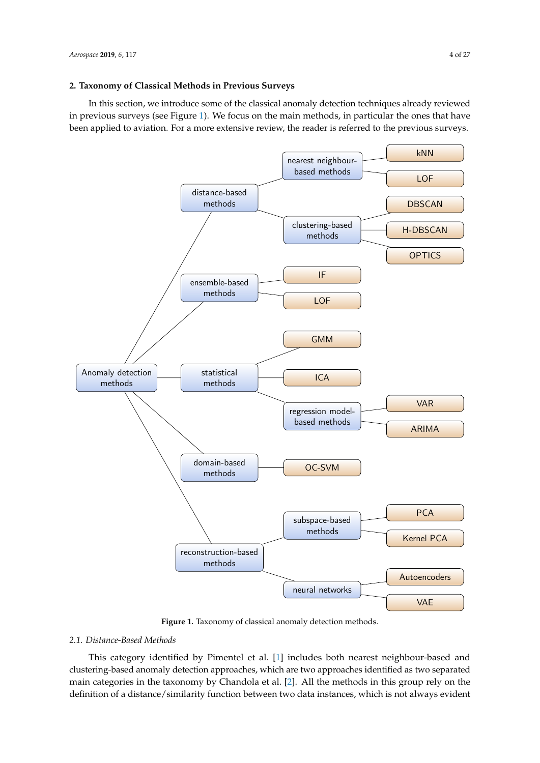# <span id="page-3-0"></span>**2. Taxonomy of Classical Methods in Previous Surveys**

In this section, we introduce some of the classical anomaly detection techniques already reviewed in previous surveys (see Figure [1\)](#page-3-1). We focus on the main methods, in particular the ones that have been applied to aviation. For a more extensive review, the reader is referred to the previous surveys.

<span id="page-3-1"></span>

**Figure 1.** Taxonomy of classical anomaly detection methods.

# *2.1. Distance-Based Methods*

This category identified by Pimentel et al. [\[1\]](#page-20-0) includes both nearest neighbour-based and clustering-based anomaly detection approaches, which are two approaches identified as two separated main categories in the taxonomy by Chandola et al. [\[2\]](#page-20-1). All the methods in this group rely on the definition of a distance/similarity function between two data instances, which is not always evident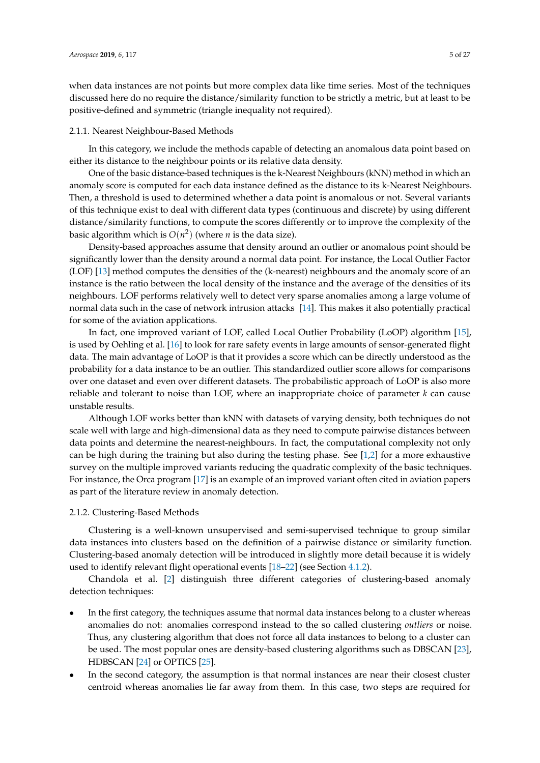when data instances are not points but more complex data like time series. Most of the techniques discussed here do no require the distance/similarity function to be strictly a metric, but at least to be positive-defined and symmetric (triangle inequality not required).

#### 2.1.1. Nearest Neighbour-Based Methods

In this category, we include the methods capable of detecting an anomalous data point based on either its distance to the neighbour points or its relative data density.

One of the basic distance-based techniques is the k-Nearest Neighbours (kNN) method in which an anomaly score is computed for each data instance defined as the distance to its k-Nearest Neighbours. Then, a threshold is used to determined whether a data point is anomalous or not. Several variants of this technique exist to deal with different data types (continuous and discrete) by using different distance/similarity functions, to compute the scores differently or to improve the complexity of the basic algorithm which is  $O(n^2)$  (where  $n$  is the data size).

Density-based approaches assume that density around an outlier or anomalous point should be significantly lower than the density around a normal data point. For instance, the Local Outlier Factor (LOF) [\[13\]](#page-20-12) method computes the densities of the (k-nearest) neighbours and the anomaly score of an instance is the ratio between the local density of the instance and the average of the densities of its neighbours. LOF performs relatively well to detect very sparse anomalies among a large volume of normal data such in the case of network intrusion attacks [\[14\]](#page-20-13). This makes it also potentially practical for some of the aviation applications.

In fact, one improved variant of LOF, called Local Outlier Probability (LoOP) algorithm [\[15\]](#page-20-14), is used by Oehling et al. [\[16\]](#page-20-15) to look for rare safety events in large amounts of sensor-generated flight data. The main advantage of LoOP is that it provides a score which can be directly understood as the probability for a data instance to be an outlier. This standardized outlier score allows for comparisons over one dataset and even over different datasets. The probabilistic approach of LoOP is also more reliable and tolerant to noise than LOF, where an inappropriate choice of parameter *k* can cause unstable results.

Although LOF works better than kNN with datasets of varying density, both techniques do not scale well with large and high-dimensional data as they need to compute pairwise distances between data points and determine the nearest-neighbours. In fact, the computational complexity not only can be high during the training but also during the testing phase. See [\[1](#page-20-0)[,2\]](#page-20-1) for a more exhaustive survey on the multiple improved variants reducing the quadratic complexity of the basic techniques. For instance, the Orca program [\[17\]](#page-20-16) is an example of an improved variant often cited in aviation papers as part of the literature review in anomaly detection.

#### 2.1.2. Clustering-Based Methods

Clustering is a well-known unsupervised and semi-supervised technique to group similar data instances into clusters based on the definition of a pairwise distance or similarity function. Clustering-based anomaly detection will be introduced in slightly more detail because it is widely used to identify relevant flight operational events [\[18–](#page-21-0)[22\]](#page-21-1) (see Section [4.1.2\)](#page-13-0).

Chandola et al. [\[2\]](#page-20-1) distinguish three different categories of clustering-based anomaly detection techniques:

- In the first category, the techniques assume that normal data instances belong to a cluster whereas anomalies do not: anomalies correspond instead to the so called clustering *outliers* or noise. Thus, any clustering algorithm that does not force all data instances to belong to a cluster can be used. The most popular ones are density-based clustering algorithms such as DBSCAN [\[23\]](#page-21-2), HDBSCAN [\[24\]](#page-21-3) or OPTICS [\[25\]](#page-21-4).
- In the second category, the assumption is that normal instances are near their closest cluster centroid whereas anomalies lie far away from them. In this case, two steps are required for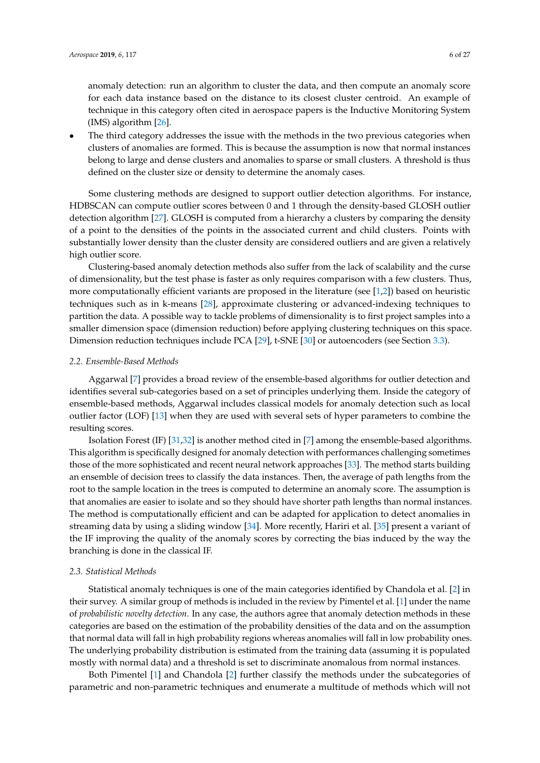anomaly detection: run an algorithm to cluster the data, and then compute an anomaly score for each data instance based on the distance to its closest cluster centroid. An example of technique in this category often cited in aerospace papers is the Inductive Monitoring System (IMS) algorithm [\[26\]](#page-21-5).

The third category addresses the issue with the methods in the two previous categories when clusters of anomalies are formed. This is because the assumption is now that normal instances belong to large and dense clusters and anomalies to sparse or small clusters. A threshold is thus defined on the cluster size or density to determine the anomaly cases.

Some clustering methods are designed to support outlier detection algorithms. For instance, HDBSCAN can compute outlier scores between 0 and 1 through the density-based GLOSH outlier detection algorithm [\[27\]](#page-21-6). GLOSH is computed from a hierarchy a clusters by comparing the density of a point to the densities of the points in the associated current and child clusters. Points with substantially lower density than the cluster density are considered outliers and are given a relatively high outlier score.

Clustering-based anomaly detection methods also suffer from the lack of scalability and the curse of dimensionality, but the test phase is faster as only requires comparison with a few clusters. Thus, more computationally efficient variants are proposed in the literature (see  $[1,2]$  $[1,2]$ ) based on heuristic techniques such as in k-means [\[28\]](#page-21-7), approximate clustering or advanced-indexing techniques to partition the data. A possible way to tackle problems of dimensionality is to first project samples into a smaller dimension space (dimension reduction) before applying clustering techniques on this space. Dimension reduction techniques include PCA [\[29\]](#page-21-8), t-SNE [\[30\]](#page-21-9) or autoencoders (see Section [3.3\)](#page-9-1).

### *2.2. Ensemble-Based Methods*

Aggarwal [\[7\]](#page-20-6) provides a broad review of the ensemble-based algorithms for outlier detection and identifies several sub-categories based on a set of principles underlying them. Inside the category of ensemble-based methods, Aggarwal includes classical models for anomaly detection such as local outlier factor (LOF) [\[13\]](#page-20-12) when they are used with several sets of hyper parameters to combine the resulting scores.

Isolation Forest (IF) [\[31](#page-21-10)[,32\]](#page-21-11) is another method cited in [\[7\]](#page-20-6) among the ensemble-based algorithms. This algorithm is specifically designed for anomaly detection with performances challenging sometimes those of the more sophisticated and recent neural network approaches [\[33\]](#page-21-12). The method starts building an ensemble of decision trees to classify the data instances. Then, the average of path lengths from the root to the sample location in the trees is computed to determine an anomaly score. The assumption is that anomalies are easier to isolate and so they should have shorter path lengths than normal instances. The method is computationally efficient and can be adapted for application to detect anomalies in streaming data by using a sliding window [\[34\]](#page-21-13). More recently, Hariri et al. [\[35\]](#page-21-14) present a variant of the IF improving the quality of the anomaly scores by correcting the bias induced by the way the branching is done in the classical IF.

#### *2.3. Statistical Methods*

Statistical anomaly techniques is one of the main categories identified by Chandola et al. [\[2\]](#page-20-1) in their survey. A similar group of methods is included in the review by Pimentel et al. [\[1\]](#page-20-0) under the name of *probabilistic novelty detection*. In any case, the authors agree that anomaly detection methods in these categories are based on the estimation of the probability densities of the data and on the assumption that normal data will fall in high probability regions whereas anomalies will fall in low probability ones. The underlying probability distribution is estimated from the training data (assuming it is populated mostly with normal data) and a threshold is set to discriminate anomalous from normal instances.

Both Pimentel [\[1\]](#page-20-0) and Chandola [\[2\]](#page-20-1) further classify the methods under the subcategories of parametric and non-parametric techniques and enumerate a multitude of methods which will not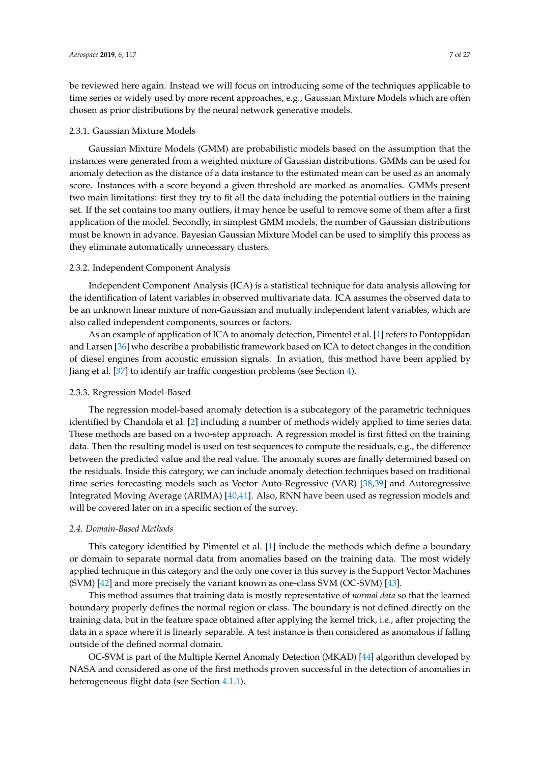be reviewed here again. Instead we will focus on introducing some of the techniques applicable to time series or widely used by more recent approaches, e.g., Gaussian Mixture Models which are often chosen as prior distributions by the neural network generative models.

#### 2.3.1. Gaussian Mixture Models

Gaussian Mixture Models (GMM) are probabilistic models based on the assumption that the instances were generated from a weighted mixture of Gaussian distributions. GMMs can be used for anomaly detection as the distance of a data instance to the estimated mean can be used as an anomaly score. Instances with a score beyond a given threshold are marked as anomalies. GMMs present two main limitations: first they try to fit all the data including the potential outliers in the training set. If the set contains too many outliers, it may hence be useful to remove some of them after a first application of the model. Secondly, in simplest GMM models, the number of Gaussian distributions must be known in advance. Bayesian Gaussian Mixture Model can be used to simplify this process as they eliminate automatically unnecessary clusters.

#### 2.3.2. Independent Component Analysis

Independent Component Analysis (ICA) is a statistical technique for data analysis allowing for the identification of latent variables in observed multivariate data. ICA assumes the observed data to be an unknown linear mixture of non-Gaussian and mutually independent latent variables, which are also called independent components, sources or factors.

As an example of application of ICA to anomaly detection, Pimentel et al. [\[1\]](#page-20-0) refers to Pontoppidan and Larsen [\[36\]](#page-21-15) who describe a probabilistic framework based on ICA to detect changes in the condition of diesel engines from acoustic emission signals. In aviation, this method have been applied by Jiang et al. [\[37\]](#page-21-16) to identify air traffic congestion problems (see Section [4\)](#page-11-1).

## 2.3.3. Regression Model-Based

The regression model-based anomaly detection is a subcategory of the parametric techniques identified by Chandola et al. [\[2\]](#page-20-1) including a number of methods widely applied to time series data. These methods are based on a two-step approach. A regression model is first fitted on the training data. Then the resulting model is used on test sequences to compute the residuals, e.g., the difference between the predicted value and the real value. The anomaly scores are finally determined based on the residuals. Inside this category, we can include anomaly detection techniques based on traditional time series forecasting models such as Vector Auto-Regressive (VAR) [\[38](#page-21-17)[,39\]](#page-22-0) and Autoregressive Integrated Moving Average (ARIMA) [\[40,](#page-22-1)[41\]](#page-22-2). Also, RNN have been used as regression models and will be covered later on in a specific section of the survey.

## *2.4. Domain-Based Methods*

This category identified by Pimentel et al. [\[1\]](#page-20-0) include the methods which define a boundary or domain to separate normal data from anomalies based on the training data. The most widely applied technique in this category and the only one cover in this survey is the Support Vector Machines (SVM) [\[42\]](#page-22-3) and more precisely the variant known as one-class SVM (OC-SVM) [\[43\]](#page-22-4).

This method assumes that training data is mostly representative of *normal data* so that the learned boundary properly defines the normal region or class. The boundary is not defined directly on the training data, but in the feature space obtained after applying the kernel trick, i.e., after projecting the data in a space where it is linearly separable. A test instance is then considered as anomalous if falling outside of the defined normal domain.

OC-SVM is part of the Multiple Kernel Anomaly Detection (MKAD) [\[44\]](#page-22-5) algorithm developed by NASA and considered as one of the first methods proven successful in the detection of anomalies in heterogeneous flight data (see Section [4.1.1\)](#page-13-1).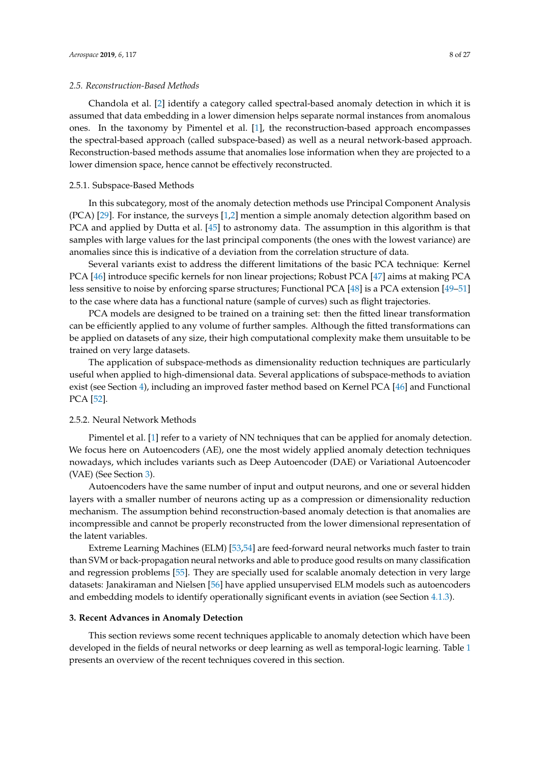#### *2.5. Reconstruction-Based Methods*

Chandola et al. [\[2\]](#page-20-1) identify a category called spectral-based anomaly detection in which it is assumed that data embedding in a lower dimension helps separate normal instances from anomalous ones. In the taxonomy by Pimentel et al. [\[1\]](#page-20-0), the reconstruction-based approach encompasses the spectral-based approach (called subspace-based) as well as a neural network-based approach. Reconstruction-based methods assume that anomalies lose information when they are projected to a lower dimension space, hence cannot be effectively reconstructed.

#### 2.5.1. Subspace-Based Methods

In this subcategory, most of the anomaly detection methods use Principal Component Analysis (PCA) [\[29\]](#page-21-8). For instance, the surveys [\[1](#page-20-0)[,2\]](#page-20-1) mention a simple anomaly detection algorithm based on PCA and applied by Dutta et al. [\[45\]](#page-22-6) to astronomy data. The assumption in this algorithm is that samples with large values for the last principal components (the ones with the lowest variance) are anomalies since this is indicative of a deviation from the correlation structure of data.

Several variants exist to address the different limitations of the basic PCA technique: Kernel PCA [\[46\]](#page-22-7) introduce specific kernels for non linear projections; Robust PCA [\[47\]](#page-22-8) aims at making PCA less sensitive to noise by enforcing sparse structures; Functional PCA [\[48\]](#page-22-9) is a PCA extension [\[49](#page-22-10)[–51\]](#page-22-11) to the case where data has a functional nature (sample of curves) such as flight trajectories.

PCA models are designed to be trained on a training set: then the fitted linear transformation can be efficiently applied to any volume of further samples. Although the fitted transformations can be applied on datasets of any size, their high computational complexity make them unsuitable to be trained on very large datasets.

The application of subspace-methods as dimensionality reduction techniques are particularly useful when applied to high-dimensional data. Several applications of subspace-methods to aviation exist (see Section [4\)](#page-11-1), including an improved faster method based on Kernel PCA [\[46\]](#page-22-7) and Functional PCA [\[52\]](#page-22-12).

# 2.5.2. Neural Network Methods

Pimentel et al. [\[1\]](#page-20-0) refer to a variety of NN techniques that can be applied for anomaly detection. We focus here on Autoencoders (AE), one the most widely applied anomaly detection techniques nowadays, which includes variants such as Deep Autoencoder (DAE) or Variational Autoencoder (VAE) (See Section [3\)](#page-7-0).

Autoencoders have the same number of input and output neurons, and one or several hidden layers with a smaller number of neurons acting up as a compression or dimensionality reduction mechanism. The assumption behind reconstruction-based anomaly detection is that anomalies are incompressible and cannot be properly reconstructed from the lower dimensional representation of the latent variables.

Extreme Learning Machines (ELM) [\[53](#page-22-13)[,54\]](#page-22-14) are feed-forward neural networks much faster to train than SVM or back-propagation neural networks and able to produce good results on many classification and regression problems [\[55\]](#page-22-15). They are specially used for scalable anomaly detection in very large datasets: Janakiraman and Nielsen [\[56\]](#page-22-16) have applied unsupervised ELM models such as autoencoders and embedding models to identify operationally significant events in aviation (see Section [4.1.3\)](#page-14-0).

### <span id="page-7-0"></span>**3. Recent Advances in Anomaly Detection**

This section reviews some recent techniques applicable to anomaly detection which have been developed in the fields of neural networks or deep learning as well as temporal-logic learning. Table [1](#page-8-1) presents an overview of the recent techniques covered in this section.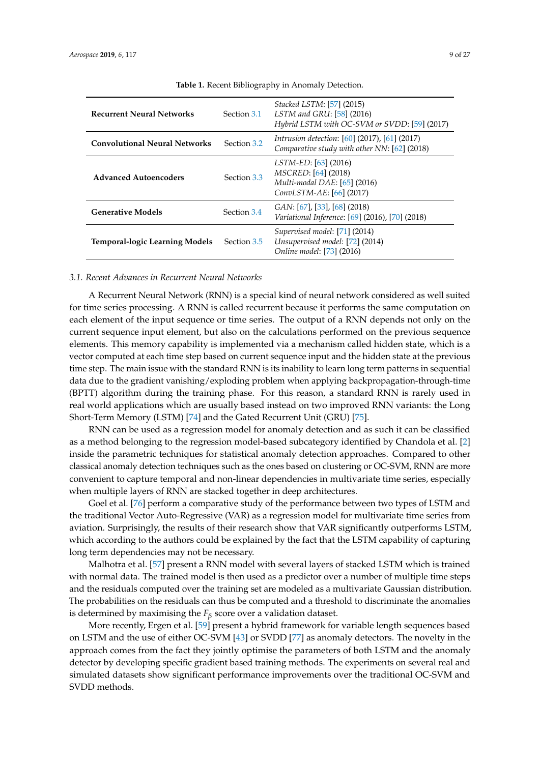<span id="page-8-1"></span>

| <b>Recurrent Neural Networks</b>      | Section 3.1 | Stacked LSTM: [57] (2015)<br>LSTM and GRU: [58] (2016)<br>Hybrid LSTM with OC-SVM or SVDD: [59] (2017)            |
|---------------------------------------|-------------|-------------------------------------------------------------------------------------------------------------------|
| <b>Convolutional Neural Networks</b>  | Section 3.2 | <i>Intrusion detection:</i> $[60]$ (2017), $[61]$ (2017)<br>Comparative study with other NN: [62] (2018)          |
| <b>Advanced Autoencoders</b>          | Section 3.3 | $LSTM-ED: [63] (2016)$<br><i>MSCRED</i> : [64] (2018)<br>Multi-modal DAE: [65] (2016)<br>ConvLSTM-AE: [66] (2017) |
| <b>Generative Models</b>              | Section 3.4 | $GAN: [67], [33], [68]$ (2018)<br>Variational Inference: [69] (2016), [70] (2018)                                 |
| <b>Temporal-logic Learning Models</b> | Section 3.5 | Supervised model: [71] (2014)<br>Unsupervised model: [72] (2014)<br>Online model: [73] (2016)                     |

**Table 1.** Recent Bibliography in Anomaly Detection.

## <span id="page-8-0"></span>*3.1. Recent Advances in Recurrent Neural Networks*

A Recurrent Neural Network (RNN) is a special kind of neural network considered as well suited for time series processing. A RNN is called recurrent because it performs the same computation on each element of the input sequence or time series. The output of a RNN depends not only on the current sequence input element, but also on the calculations performed on the previous sequence elements. This memory capability is implemented via a mechanism called hidden state, which is a vector computed at each time step based on current sequence input and the hidden state at the previous time step. The main issue with the standard RNN is its inability to learn long term patterns in sequential data due to the gradient vanishing/exploding problem when applying backpropagation-through-time (BPTT) algorithm during the training phase. For this reason, a standard RNN is rarely used in real world applications which are usually based instead on two improved RNN variants: the Long Short-Term Memory (LSTM) [\[74\]](#page-23-14) and the Gated Recurrent Unit (GRU) [\[75\]](#page-23-15).

RNN can be used as a regression model for anomaly detection and as such it can be classified as a method belonging to the regression model-based subcategory identified by Chandola et al. [\[2\]](#page-20-1) inside the parametric techniques for statistical anomaly detection approaches. Compared to other classical anomaly detection techniques such as the ones based on clustering or OC-SVM, RNN are more convenient to capture temporal and non-linear dependencies in multivariate time series, especially when multiple layers of RNN are stacked together in deep architectures.

Goel et al. [\[76\]](#page-23-16) perform a comparative study of the performance between two types of LSTM and the traditional Vector Auto-Regressive (VAR) as a regression model for multivariate time series from aviation. Surprisingly, the results of their research show that VAR significantly outperforms LSTM, which according to the authors could be explained by the fact that the LSTM capability of capturing long term dependencies may not be necessary.

Malhotra et al. [\[57\]](#page-22-17) present a RNN model with several layers of stacked LSTM which is trained with normal data. The trained model is then used as a predictor over a number of multiple time steps and the residuals computed over the training set are modeled as a multivariate Gaussian distribution. The probabilities on the residuals can thus be computed and a threshold to discriminate the anomalies is determined by maximising the  $F_\beta$  score over a validation dataset.

More recently, Ergen et al. [\[59\]](#page-22-19) present a hybrid framework for variable length sequences based on LSTM and the use of either OC-SVM [\[43\]](#page-22-4) or SVDD [\[77\]](#page-23-17) as anomaly detectors. The novelty in the approach comes from the fact they jointly optimise the parameters of both LSTM and the anomaly detector by developing specific gradient based training methods. The experiments on several real and simulated datasets show significant performance improvements over the traditional OC-SVM and SVDD methods.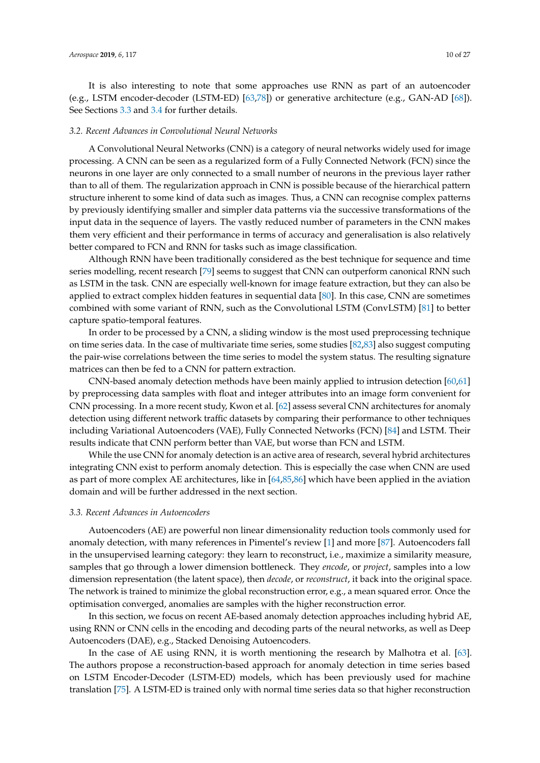It is also interesting to note that some approaches use RNN as part of an autoencoder (e.g., LSTM encoder-decoder (LSTM-ED) [\[63](#page-23-3)[,78\]](#page-23-18)) or generative architecture (e.g., GAN-AD [\[68\]](#page-23-8)). See Sections [3.3](#page-9-1) and [3.4](#page-10-0) for further details.

#### <span id="page-9-0"></span>*3.2. Recent Advances in Convolutional Neural Networks*

A Convolutional Neural Networks (CNN) is a category of neural networks widely used for image processing. A CNN can be seen as a regularized form of a Fully Connected Network (FCN) since the neurons in one layer are only connected to a small number of neurons in the previous layer rather than to all of them. The regularization approach in CNN is possible because of the hierarchical pattern structure inherent to some kind of data such as images. Thus, a CNN can recognise complex patterns by previously identifying smaller and simpler data patterns via the successive transformations of the input data in the sequence of layers. The vastly reduced number of parameters in the CNN makes them very efficient and their performance in terms of accuracy and generalisation is also relatively better compared to FCN and RNN for tasks such as image classification.

Although RNN have been traditionally considered as the best technique for sequence and time series modelling, recent research [\[79\]](#page-23-19) seems to suggest that CNN can outperform canonical RNN such as LSTM in the task. CNN are especially well-known for image feature extraction, but they can also be applied to extract complex hidden features in sequential data [\[80\]](#page-24-0). In this case, CNN are sometimes combined with some variant of RNN, such as the Convolutional LSTM (ConvLSTM) [\[81\]](#page-24-1) to better capture spatio-temporal features.

In order to be processed by a CNN, a sliding window is the most used preprocessing technique on time series data. In the case of multivariate time series, some studies [\[82](#page-24-2)[,83\]](#page-24-3) also suggest computing the pair-wise correlations between the time series to model the system status. The resulting signature matrices can then be fed to a CNN for pattern extraction.

CNN-based anomaly detection methods have been mainly applied to intrusion detection [\[60](#page-23-0)[,61\]](#page-23-1) by preprocessing data samples with float and integer attributes into an image form convenient for CNN processing. In a more recent study, Kwon et al. [\[62\]](#page-23-2) assess several CNN architectures for anomaly detection using different network traffic datasets by comparing their performance to other techniques including Variational Autoencoders (VAE), Fully Connected Networks (FCN) [\[84\]](#page-24-4) and LSTM. Their results indicate that CNN perform better than VAE, but worse than FCN and LSTM.

While the use CNN for anomaly detection is an active area of research, several hybrid architectures integrating CNN exist to perform anomaly detection. This is especially the case when CNN are used as part of more complex AE architectures, like in [\[64,](#page-23-4)[85,](#page-24-5)[86\]](#page-24-6) which have been applied in the aviation domain and will be further addressed in the next section.

#### <span id="page-9-1"></span>*3.3. Recent Advances in Autoencoders*

Autoencoders (AE) are powerful non linear dimensionality reduction tools commonly used for anomaly detection, with many references in Pimentel's review [\[1\]](#page-20-0) and more [\[87\]](#page-24-7). Autoencoders fall in the unsupervised learning category: they learn to reconstruct, i.e., maximize a similarity measure, samples that go through a lower dimension bottleneck. They *encode*, or *project*, samples into a low dimension representation (the latent space), then *decode*, or *reconstruct*, it back into the original space. The network is trained to minimize the global reconstruction error, e.g., a mean squared error. Once the optimisation converged, anomalies are samples with the higher reconstruction error.

In this section, we focus on recent AE-based anomaly detection approaches including hybrid AE, using RNN or CNN cells in the encoding and decoding parts of the neural networks, as well as Deep Autoencoders (DAE), e.g., Stacked Denoising Autoencoders.

In the case of AE using RNN, it is worth mentioning the research by Malhotra et al. [\[63\]](#page-23-3). The authors propose a reconstruction-based approach for anomaly detection in time series based on LSTM Encoder-Decoder (LSTM-ED) models, which has been previously used for machine translation [\[75\]](#page-23-15). A LSTM-ED is trained only with normal time series data so that higher reconstruction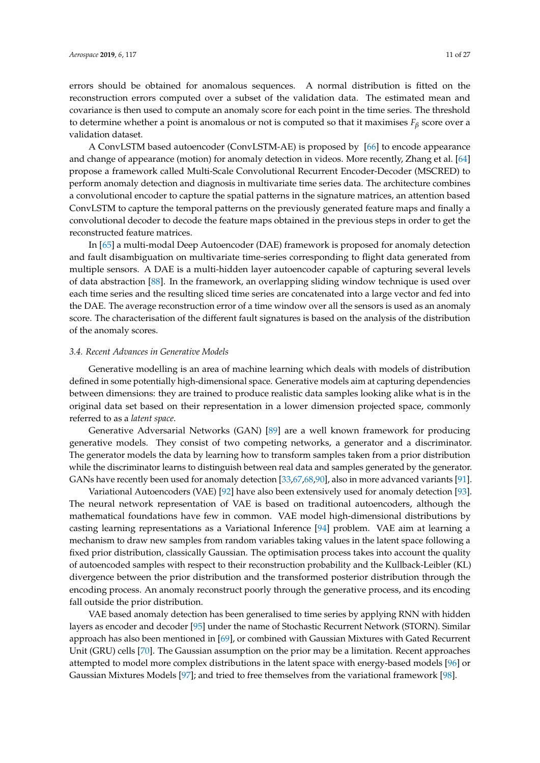errors should be obtained for anomalous sequences. A normal distribution is fitted on the reconstruction errors computed over a subset of the validation data. The estimated mean and covariance is then used to compute an anomaly score for each point in the time series. The threshold to determine whether a point is anomalous or not is computed so that it maximises *F<sup>β</sup>* score over a validation dataset.

A ConvLSTM based autoencoder (ConvLSTM-AE) is proposed by [\[66\]](#page-23-6) to encode appearance and change of appearance (motion) for anomaly detection in videos. More recently, Zhang et al. [\[64\]](#page-23-4) propose a framework called Multi-Scale Convolutional Recurrent Encoder-Decoder (MSCRED) to perform anomaly detection and diagnosis in multivariate time series data. The architecture combines a convolutional encoder to capture the spatial patterns in the signature matrices, an attention based ConvLSTM to capture the temporal patterns on the previously generated feature maps and finally a convolutional decoder to decode the feature maps obtained in the previous steps in order to get the reconstructed feature matrices.

In [\[65\]](#page-23-5) a multi-modal Deep Autoencoder (DAE) framework is proposed for anomaly detection and fault disambiguation on multivariate time-series corresponding to flight data generated from multiple sensors. A DAE is a multi-hidden layer autoencoder capable of capturing several levels of data abstraction [\[88\]](#page-24-8). In the framework, an overlapping sliding window technique is used over each time series and the resulting sliced time series are concatenated into a large vector and fed into the DAE. The average reconstruction error of a time window over all the sensors is used as an anomaly score. The characterisation of the different fault signatures is based on the analysis of the distribution of the anomaly scores.

# <span id="page-10-0"></span>*3.4. Recent Advances in Generative Models*

Generative modelling is an area of machine learning which deals with models of distribution defined in some potentially high-dimensional space. Generative models aim at capturing dependencies between dimensions: they are trained to produce realistic data samples looking alike what is in the original data set based on their representation in a lower dimension projected space, commonly referred to as a *latent space*.

Generative Adversarial Networks (GAN) [\[89\]](#page-24-9) are a well known framework for producing generative models. They consist of two competing networks, a generator and a discriminator. The generator models the data by learning how to transform samples taken from a prior distribution while the discriminator learns to distinguish between real data and samples generated by the generator. GANs have recently been used for anomaly detection [\[33,](#page-21-12)[67,](#page-23-7)[68,](#page-23-8)[90\]](#page-24-10), also in more advanced variants [\[91\]](#page-24-11).

Variational Autoencoders (VAE) [\[92\]](#page-24-12) have also been extensively used for anomaly detection [\[93\]](#page-24-13). The neural network representation of VAE is based on traditional autoencoders, although the mathematical foundations have few in common. VAE model high-dimensional distributions by casting learning representations as a Variational Inference [\[94\]](#page-24-14) problem. VAE aim at learning a mechanism to draw new samples from random variables taking values in the latent space following a fixed prior distribution, classically Gaussian. The optimisation process takes into account the quality of autoencoded samples with respect to their reconstruction probability and the Kullback-Leibler (KL) divergence between the prior distribution and the transformed posterior distribution through the encoding process. An anomaly reconstruct poorly through the generative process, and its encoding fall outside the prior distribution.

VAE based anomaly detection has been generalised to time series by applying RNN with hidden layers as encoder and decoder [\[95\]](#page-24-15) under the name of Stochastic Recurrent Network (STORN). Similar approach has also been mentioned in [\[69\]](#page-23-9), or combined with Gaussian Mixtures with Gated Recurrent Unit (GRU) cells [\[70\]](#page-23-10). The Gaussian assumption on the prior may be a limitation. Recent approaches attempted to model more complex distributions in the latent space with energy-based models [\[96\]](#page-24-16) or Gaussian Mixtures Models [\[97\]](#page-24-17); and tried to free themselves from the variational framework [\[98\]](#page-24-18).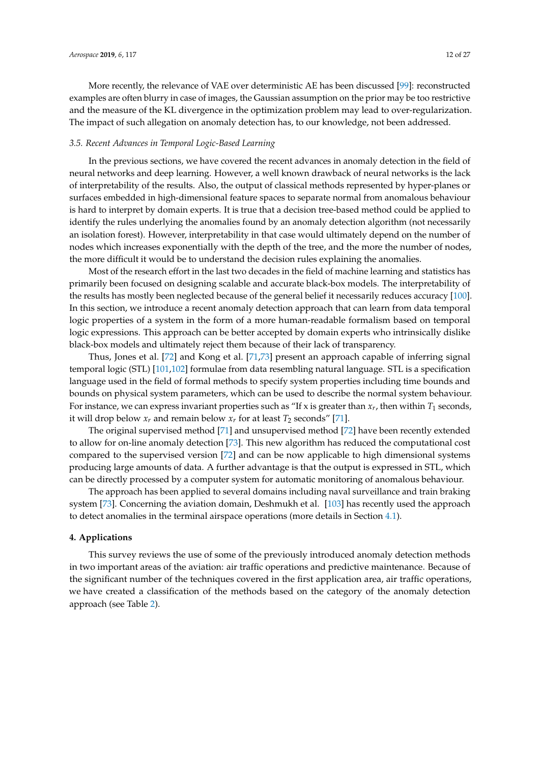More recently, the relevance of VAE over deterministic AE has been discussed [\[99\]](#page-24-19): reconstructed examples are often blurry in case of images, the Gaussian assumption on the prior may be too restrictive and the measure of the KL divergence in the optimization problem may lead to over-regularization. The impact of such allegation on anomaly detection has, to our knowledge, not been addressed.

## <span id="page-11-0"></span>*3.5. Recent Advances in Temporal Logic-Based Learning*

In the previous sections, we have covered the recent advances in anomaly detection in the field of neural networks and deep learning. However, a well known drawback of neural networks is the lack of interpretability of the results. Also, the output of classical methods represented by hyper-planes or surfaces embedded in high-dimensional feature spaces to separate normal from anomalous behaviour is hard to interpret by domain experts. It is true that a decision tree-based method could be applied to identify the rules underlying the anomalies found by an anomaly detection algorithm (not necessarily an isolation forest). However, interpretability in that case would ultimately depend on the number of nodes which increases exponentially with the depth of the tree, and the more the number of nodes, the more difficult it would be to understand the decision rules explaining the anomalies.

Most of the research effort in the last two decades in the field of machine learning and statistics has primarily been focused on designing scalable and accurate black-box models. The interpretability of the results has mostly been neglected because of the general belief it necessarily reduces accuracy [\[100\]](#page-25-0). In this section, we introduce a recent anomaly detection approach that can learn from data temporal logic properties of a system in the form of a more human-readable formalism based on temporal logic expressions. This approach can be better accepted by domain experts who intrinsically dislike black-box models and ultimately reject them because of their lack of transparency.

Thus, Jones et al. [\[72\]](#page-23-12) and Kong et al. [\[71](#page-23-11)[,73\]](#page-23-13) present an approach capable of inferring signal temporal logic (STL) [\[101,](#page-25-1)[102\]](#page-25-2) formulae from data resembling natural language. STL is a specification language used in the field of formal methods to specify system properties including time bounds and bounds on physical system parameters, which can be used to describe the normal system behaviour. For instance, we can express invariant properties such as "If x is greater than  $x_r$ , then within  $T_1$  seconds, it will drop below  $x_r$  and remain below  $x_r$  for at least  $T_2$  seconds" [\[71\]](#page-23-11).

The original supervised method [\[71\]](#page-23-11) and unsupervised method [\[72\]](#page-23-12) have been recently extended to allow for on-line anomaly detection [\[73\]](#page-23-13). This new algorithm has reduced the computational cost compared to the supervised version [\[72\]](#page-23-12) and can be now applicable to high dimensional systems producing large amounts of data. A further advantage is that the output is expressed in STL, which can be directly processed by a computer system for automatic monitoring of anomalous behaviour.

The approach has been applied to several domains including naval surveillance and train braking system [\[73\]](#page-23-13). Concerning the aviation domain, Deshmukh et al. [\[103\]](#page-25-3) has recently used the approach to detect anomalies in the terminal airspace operations (more details in Section [4.1\)](#page-12-0).

#### <span id="page-11-1"></span>**4. Applications**

This survey reviews the use of some of the previously introduced anomaly detection methods in two important areas of the aviation: air traffic operations and predictive maintenance. Because of the significant number of the techniques covered in the first application area, air traffic operations, we have created a classification of the methods based on the category of the anomaly detection approach (see Table [2\)](#page-12-1).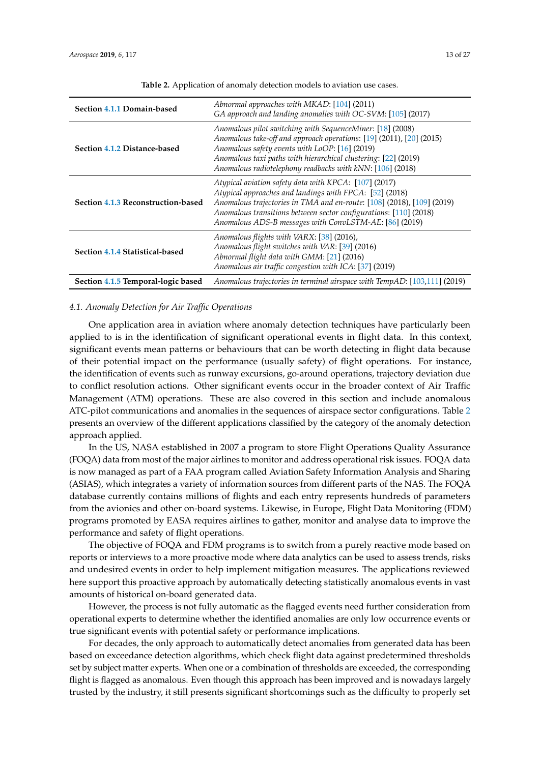<span id="page-12-1"></span>

| Section 4.1.1 Domain-based         | Abnormal approaches with MKAD: [104] (2011)<br>GA approach and landing anomalies with OC-SVM: [105] (2017)                                                                                                                                                                                                                |
|------------------------------------|---------------------------------------------------------------------------------------------------------------------------------------------------------------------------------------------------------------------------------------------------------------------------------------------------------------------------|
| Section 4.1.2 Distance-based       | Anomalous pilot switching with SequenceMiner: [18] (2008)<br>Anomalous take-off and approach operations: [19] (2011), [20] (2015)<br>Anomalous safety events with LoOP: [16] (2019)<br>Anomalous taxi paths with hierarchical clustering: [22] (2019)<br>Anomalous radiotelephony readbacks with kNN: [106] (2018)        |
| Section 4.1.3 Reconstruction-based | Atypical aviation safety data with KPCA: [107] (2017)<br>Atypical approaches and landings with FPCA: [52] (2018)<br>Anomalous trajectories in TMA and en-route: [108] (2018), [109] (2019)<br>Anomalous transitions between sector configurations: [110] (2018)<br>Anomalous ADS-B messages with ConvLSTM-AE: [86] (2019) |
| Section 4.1.4 Statistical-based    | Anomalous flights with VARX: [38] (2016),<br>Anomalous flight switches with VAR: [39] (2016)<br>Abnormal flight data with GMM: [21] (2016)<br>Anomalous air traffic congestion with ICA: [37] (2019)                                                                                                                      |
| Section 4.1.5 Temporal-logic based | Anomalous trajectories in terminal airspace with TempAD: [103,111] (2019)                                                                                                                                                                                                                                                 |

**Table 2.** Application of anomaly detection models to aviation use cases.

## <span id="page-12-0"></span>*4.1. Anomaly Detection for Air Traffic Operations*

One application area in aviation where anomaly detection techniques have particularly been applied to is in the identification of significant operational events in flight data. In this context, significant events mean patterns or behaviours that can be worth detecting in flight data because of their potential impact on the performance (usually safety) of flight operations. For instance, the identification of events such as runway excursions, go-around operations, trajectory deviation due to conflict resolution actions. Other significant events occur in the broader context of Air Traffic Management (ATM) operations. These are also covered in this section and include anomalous ATC-pilot communications and anomalies in the sequences of airspace sector configurations. Table [2](#page-12-1) presents an overview of the different applications classified by the category of the anomaly detection approach applied.

In the US, NASA established in 2007 a program to store Flight Operations Quality Assurance (FOQA) data from most of the major airlines to monitor and address operational risk issues. FOQA data is now managed as part of a FAA program called Aviation Safety Information Analysis and Sharing (ASIAS), which integrates a variety of information sources from different parts of the NAS. The FOQA database currently contains millions of flights and each entry represents hundreds of parameters from the avionics and other on-board systems. Likewise, in Europe, Flight Data Monitoring (FDM) programs promoted by EASA requires airlines to gather, monitor and analyse data to improve the performance and safety of flight operations.

The objective of FOQA and FDM programs is to switch from a purely reactive mode based on reports or interviews to a more proactive mode where data analytics can be used to assess trends, risks and undesired events in order to help implement mitigation measures. The applications reviewed here support this proactive approach by automatically detecting statistically anomalous events in vast amounts of historical on-board generated data.

However, the process is not fully automatic as the flagged events need further consideration from operational experts to determine whether the identified anomalies are only low occurrence events or true significant events with potential safety or performance implications.

For decades, the only approach to automatically detect anomalies from generated data has been based on exceedance detection algorithms, which check flight data against predetermined thresholds set by subject matter experts. When one or a combination of thresholds are exceeded, the corresponding flight is flagged as anomalous. Even though this approach has been improved and is nowadays largely trusted by the industry, it still presents significant shortcomings such as the difficulty to properly set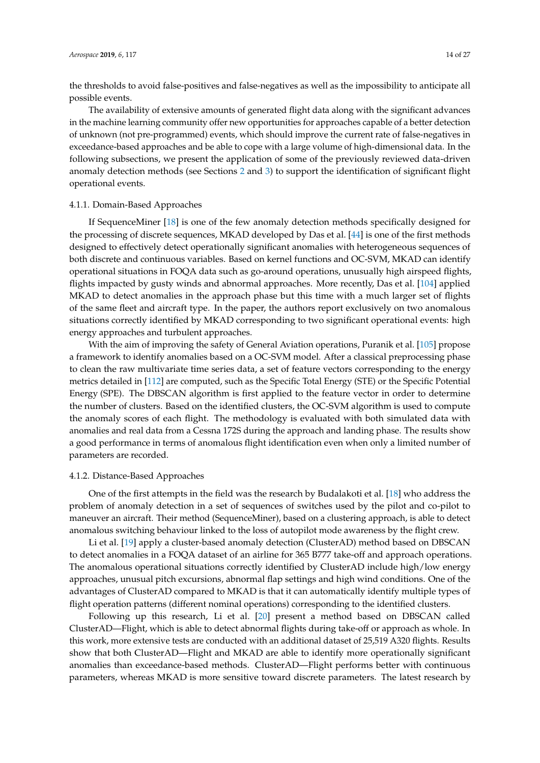the thresholds to avoid false-positives and false-negatives as well as the impossibility to anticipate all possible events.

The availability of extensive amounts of generated flight data along with the significant advances in the machine learning community offer new opportunities for approaches capable of a better detection of unknown (not pre-programmed) events, which should improve the current rate of false-negatives in exceedance-based approaches and be able to cope with a large volume of high-dimensional data. In the following subsections, we present the application of some of the previously reviewed data-driven anomaly detection methods (see Sections [2](#page-3-0) and [3\)](#page-7-0) to support the identification of significant flight operational events.

#### <span id="page-13-1"></span>4.1.1. Domain-Based Approaches

If SequenceMiner [\[18\]](#page-21-0) is one of the few anomaly detection methods specifically designed for the processing of discrete sequences, MKAD developed by Das et al. [\[44\]](#page-22-5) is one of the first methods designed to effectively detect operationally significant anomalies with heterogeneous sequences of both discrete and continuous variables. Based on kernel functions and OC-SVM, MKAD can identify operational situations in FOQA data such as go-around operations, unusually high airspeed flights, flights impacted by gusty winds and abnormal approaches. More recently, Das et al. [\[104\]](#page-25-4) applied MKAD to detect anomalies in the approach phase but this time with a much larger set of flights of the same fleet and aircraft type. In the paper, the authors report exclusively on two anomalous situations correctly identified by MKAD corresponding to two significant operational events: high energy approaches and turbulent approaches.

With the aim of improving the safety of General Aviation operations, Puranik et al. [\[105\]](#page-25-5) propose a framework to identify anomalies based on a OC-SVM model. After a classical preprocessing phase to clean the raw multivariate time series data, a set of feature vectors corresponding to the energy metrics detailed in [\[112\]](#page-25-12) are computed, such as the Specific Total Energy (STE) or the Specific Potential Energy (SPE). The DBSCAN algorithm is first applied to the feature vector in order to determine the number of clusters. Based on the identified clusters, the OC-SVM algorithm is used to compute the anomaly scores of each flight. The methodology is evaluated with both simulated data with anomalies and real data from a Cessna 172S during the approach and landing phase. The results show a good performance in terms of anomalous flight identification even when only a limited number of parameters are recorded.

#### <span id="page-13-0"></span>4.1.2. Distance-Based Approaches

One of the first attempts in the field was the research by Budalakoti et al. [\[18\]](#page-21-0) who address the problem of anomaly detection in a set of sequences of switches used by the pilot and co-pilot to maneuver an aircraft. Their method (SequenceMiner), based on a clustering approach, is able to detect anomalous switching behaviour linked to the loss of autopilot mode awareness by the flight crew.

Li et al. [\[19\]](#page-21-18) apply a cluster-based anomaly detection (ClusterAD) method based on DBSCAN to detect anomalies in a FOQA dataset of an airline for 365 B777 take-off and approach operations. The anomalous operational situations correctly identified by ClusterAD include high/low energy approaches, unusual pitch excursions, abnormal flap settings and high wind conditions. One of the advantages of ClusterAD compared to MKAD is that it can automatically identify multiple types of flight operation patterns (different nominal operations) corresponding to the identified clusters.

Following up this research, Li et al. [\[20\]](#page-21-19) present a method based on DBSCAN called ClusterAD—Flight, which is able to detect abnormal flights during take-off or approach as whole. In this work, more extensive tests are conducted with an additional dataset of 25,519 A320 flights. Results show that both ClusterAD—Flight and MKAD are able to identify more operationally significant anomalies than exceedance-based methods. ClusterAD—Flight performs better with continuous parameters, whereas MKAD is more sensitive toward discrete parameters. The latest research by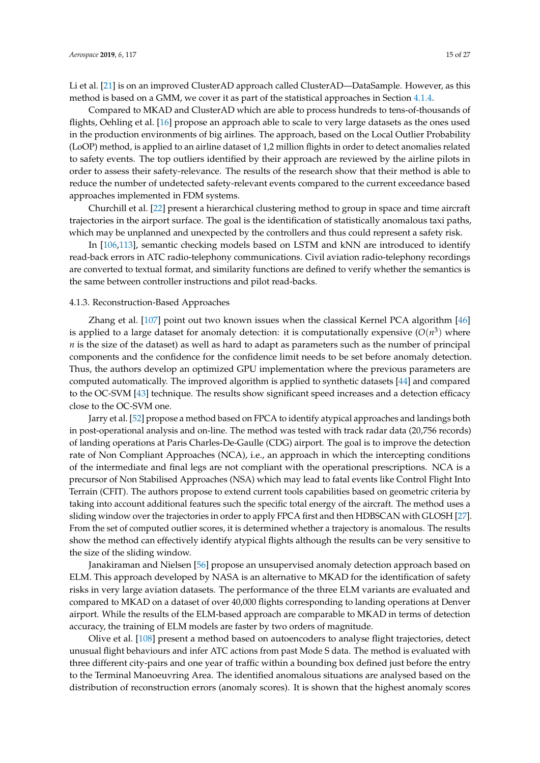Li et al. [\[21\]](#page-21-20) is on an improved ClusterAD approach called ClusterAD—DataSample. However, as this method is based on a GMM, we cover it as part of the statistical approaches in Section [4.1.4.](#page-15-0)

Compared to MKAD and ClusterAD which are able to process hundreds to tens-of-thousands of flights, Oehling et al. [\[16\]](#page-20-15) propose an approach able to scale to very large datasets as the ones used in the production environments of big airlines. The approach, based on the Local Outlier Probability (LoOP) method, is applied to an airline dataset of 1,2 million flights in order to detect anomalies related to safety events. The top outliers identified by their approach are reviewed by the airline pilots in order to assess their safety-relevance. The results of the research show that their method is able to reduce the number of undetected safety-relevant events compared to the current exceedance based approaches implemented in FDM systems.

Churchill et al. [\[22\]](#page-21-1) present a hierarchical clustering method to group in space and time aircraft trajectories in the airport surface. The goal is the identification of statistically anomalous taxi paths, which may be unplanned and unexpected by the controllers and thus could represent a safety risk.

In [\[106](#page-25-6)[,113\]](#page-25-13), semantic checking models based on LSTM and kNN are introduced to identify read-back errors in ATC radio-telephony communications. Civil aviation radio-telephony recordings are converted to textual format, and similarity functions are defined to verify whether the semantics is the same between controller instructions and pilot read-backs.

# <span id="page-14-0"></span>4.1.3. Reconstruction-Based Approaches

Zhang et al. [\[107\]](#page-25-7) point out two known issues when the classical Kernel PCA algorithm [\[46\]](#page-22-7) is applied to a large dataset for anomaly detection: it is computationally expensive  $(O(n^3)$  where *n* is the size of the dataset) as well as hard to adapt as parameters such as the number of principal components and the confidence for the confidence limit needs to be set before anomaly detection. Thus, the authors develop an optimized GPU implementation where the previous parameters are computed automatically. The improved algorithm is applied to synthetic datasets [\[44\]](#page-22-5) and compared to the OC-SVM [\[43\]](#page-22-4) technique. The results show significant speed increases and a detection efficacy close to the OC-SVM one.

Jarry et al. [\[52\]](#page-22-12) propose a method based on FPCA to identify atypical approaches and landings both in post-operational analysis and on-line. The method was tested with track radar data (20,756 records) of landing operations at Paris Charles-De-Gaulle (CDG) airport. The goal is to improve the detection rate of Non Compliant Approaches (NCA), i.e., an approach in which the intercepting conditions of the intermediate and final legs are not compliant with the operational prescriptions. NCA is a precursor of Non Stabilised Approaches (NSA) which may lead to fatal events like Control Flight Into Terrain (CFIT). The authors propose to extend current tools capabilities based on geometric criteria by taking into account additional features such the specific total energy of the aircraft. The method uses a sliding window over the trajectories in order to apply FPCA first and then HDBSCAN with GLOSH [\[27\]](#page-21-6). From the set of computed outlier scores, it is determined whether a trajectory is anomalous. The results show the method can effectively identify atypical flights although the results can be very sensitive to the size of the sliding window.

Janakiraman and Nielsen [\[56\]](#page-22-16) propose an unsupervised anomaly detection approach based on ELM. This approach developed by NASA is an alternative to MKAD for the identification of safety risks in very large aviation datasets. The performance of the three ELM variants are evaluated and compared to MKAD on a dataset of over 40,000 flights corresponding to landing operations at Denver airport. While the results of the ELM-based approach are comparable to MKAD in terms of detection accuracy, the training of ELM models are faster by two orders of magnitude.

Olive et al. [\[108\]](#page-25-8) present a method based on autoencoders to analyse flight trajectories, detect unusual flight behaviours and infer ATC actions from past Mode S data. The method is evaluated with three different city-pairs and one year of traffic within a bounding box defined just before the entry to the Terminal Manoeuvring Area. The identified anomalous situations are analysed based on the distribution of reconstruction errors (anomaly scores). It is shown that the highest anomaly scores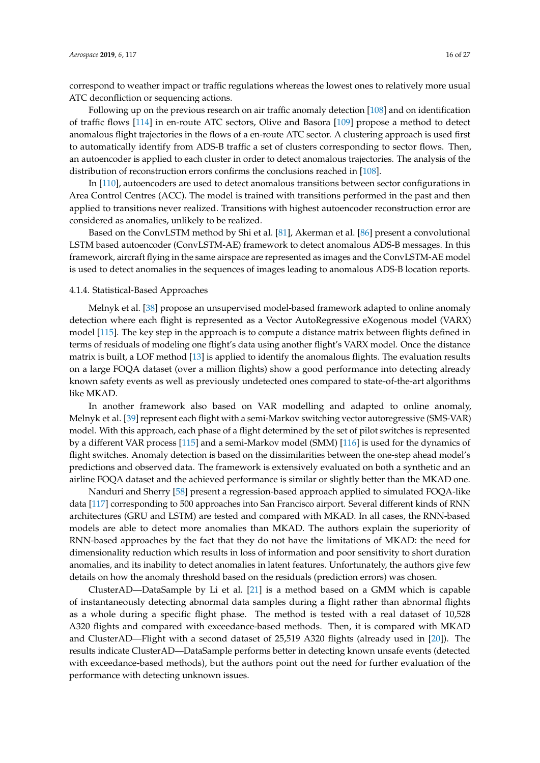correspond to weather impact or traffic regulations whereas the lowest ones to relatively more usual ATC deconfliction or sequencing actions.

Following up on the previous research on air traffic anomaly detection [\[108\]](#page-25-8) and on identification of traffic flows [\[114\]](#page-25-14) in en-route ATC sectors, Olive and Basora [\[109\]](#page-25-9) propose a method to detect anomalous flight trajectories in the flows of a en-route ATC sector. A clustering approach is used first to automatically identify from ADS-B traffic a set of clusters corresponding to sector flows. Then, an autoencoder is applied to each cluster in order to detect anomalous trajectories. The analysis of the distribution of reconstruction errors confirms the conclusions reached in [\[108\]](#page-25-8).

In [\[110\]](#page-25-10), autoencoders are used to detect anomalous transitions between sector configurations in Area Control Centres (ACC). The model is trained with transitions performed in the past and then applied to transitions never realized. Transitions with highest autoencoder reconstruction error are considered as anomalies, unlikely to be realized.

Based on the ConvLSTM method by Shi et al. [\[81\]](#page-24-1), Akerman et al. [\[86\]](#page-24-6) present a convolutional LSTM based autoencoder (ConvLSTM-AE) framework to detect anomalous ADS-B messages. In this framework, aircraft flying in the same airspace are represented as images and the ConvLSTM-AE model is used to detect anomalies in the sequences of images leading to anomalous ADS-B location reports.

## <span id="page-15-0"></span>4.1.4. Statistical-Based Approaches

Melnyk et al. [\[38\]](#page-21-17) propose an unsupervised model-based framework adapted to online anomaly detection where each flight is represented as a Vector AutoRegressive eXogenous model (VARX) model [\[115\]](#page-25-15). The key step in the approach is to compute a distance matrix between flights defined in terms of residuals of modeling one flight's data using another flight's VARX model. Once the distance matrix is built, a LOF method [\[13\]](#page-20-12) is applied to identify the anomalous flights. The evaluation results on a large FOQA dataset (over a million flights) show a good performance into detecting already known safety events as well as previously undetected ones compared to state-of-the-art algorithms like MKAD.

In another framework also based on VAR modelling and adapted to online anomaly, Melnyk et al. [\[39\]](#page-22-0) represent each flight with a semi-Markov switching vector autoregressive (SMS-VAR) model. With this approach, each phase of a flight determined by the set of pilot switches is represented by a different VAR process [\[115\]](#page-25-15) and a semi-Markov model (SMM) [\[116\]](#page-25-16) is used for the dynamics of flight switches. Anomaly detection is based on the dissimilarities between the one-step ahead model's predictions and observed data. The framework is extensively evaluated on both a synthetic and an airline FOQA dataset and the achieved performance is similar or slightly better than the MKAD one.

Nanduri and Sherry [\[58\]](#page-22-18) present a regression-based approach applied to simulated FOQA-like data [\[117\]](#page-25-17) corresponding to 500 approaches into San Francisco airport. Several different kinds of RNN architectures (GRU and LSTM) are tested and compared with MKAD. In all cases, the RNN-based models are able to detect more anomalies than MKAD. The authors explain the superiority of RNN-based approaches by the fact that they do not have the limitations of MKAD: the need for dimensionality reduction which results in loss of information and poor sensitivity to short duration anomalies, and its inability to detect anomalies in latent features. Unfortunately, the authors give few details on how the anomaly threshold based on the residuals (prediction errors) was chosen.

ClusterAD—DataSample by Li et al. [\[21\]](#page-21-20) is a method based on a GMM which is capable of instantaneously detecting abnormal data samples during a flight rather than abnormal flights as a whole during a specific flight phase. The method is tested with a real dataset of 10,528 A320 flights and compared with exceedance-based methods. Then, it is compared with MKAD and ClusterAD—Flight with a second dataset of 25,519 A320 flights (already used in [\[20\]](#page-21-19)). The results indicate ClusterAD—DataSample performs better in detecting known unsafe events (detected with exceedance-based methods), but the authors point out the need for further evaluation of the performance with detecting unknown issues.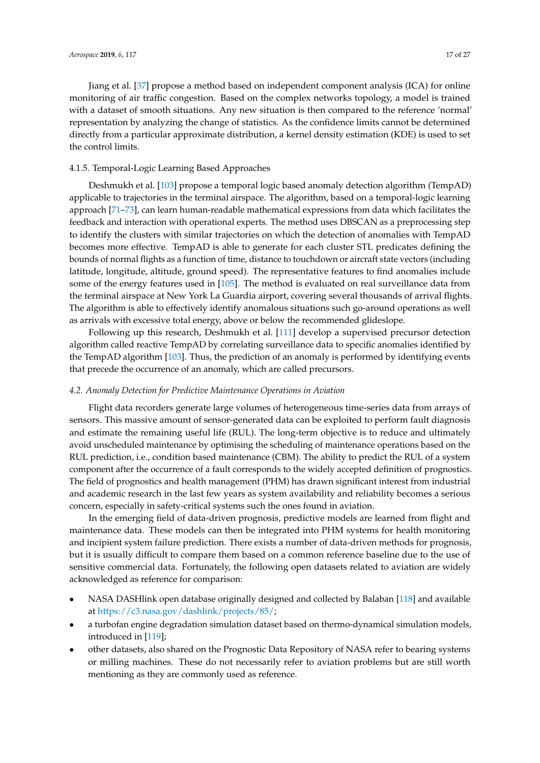Jiang et al. [\[37\]](#page-21-16) propose a method based on independent component analysis (ICA) for online monitoring of air traffic congestion. Based on the complex networks topology, a model is trained with a dataset of smooth situations. Any new situation is then compared to the reference 'normal' representation by analyzing the change of statistics. As the confidence limits cannot be determined directly from a particular approximate distribution, a kernel density estimation (KDE) is used to set the control limits.

# <span id="page-16-1"></span>4.1.5. Temporal-Logic Learning Based Approaches

Deshmukh et al. [\[103\]](#page-25-3) propose a temporal logic based anomaly detection algorithm (TempAD) applicable to trajectories in the terminal airspace. The algorithm, based on a temporal-logic learning approach [\[71](#page-23-11)[–73\]](#page-23-13), can learn human-readable mathematical expressions from data which facilitates the feedback and interaction with operational experts. The method uses DBSCAN as a preprocessing step to identify the clusters with similar trajectories on which the detection of anomalies with TempAD becomes more effective. TempAD is able to generate for each cluster STL predicates defining the bounds of normal flights as a function of time, distance to touchdown or aircraft state vectors (including latitude, longitude, altitude, ground speed). The representative features to find anomalies include some of the energy features used in [\[105\]](#page-25-5). The method is evaluated on real surveillance data from the terminal airspace at New York La Guardia airport, covering several thousands of arrival flights. The algorithm is able to effectively identify anomalous situations such go-around operations as well as arrivals with excessive total energy, above or below the recommended glideslope.

Following up this research, Deshmukh et al. [\[111\]](#page-25-11) develop a supervised precursor detection algorithm called reactive TempAD by correlating surveillance data to specific anomalies identified by the TempAD algorithm [\[103\]](#page-25-3). Thus, the prediction of an anomaly is performed by identifying events that precede the occurrence of an anomaly, which are called precursors.

## <span id="page-16-0"></span>*4.2. Anomaly Detection for Predictive Maintenance Operations in Aviation*

Flight data recorders generate large volumes of heterogeneous time-series data from arrays of sensors. This massive amount of sensor-generated data can be exploited to perform fault diagnosis and estimate the remaining useful life (RUL). The long-term objective is to reduce and ultimately avoid unscheduled maintenance by optimising the scheduling of maintenance operations based on the RUL prediction, i.e., condition based maintenance (CBM). The ability to predict the RUL of a system component after the occurrence of a fault corresponds to the widely accepted definition of prognostics. The field of prognostics and health management (PHM) has drawn significant interest from industrial and academic research in the last few years as system availability and reliability becomes a serious concern, especially in safety-critical systems such the ones found in aviation.

In the emerging field of data-driven prognosis, predictive models are learned from flight and maintenance data. These models can then be integrated into PHM systems for health monitoring and incipient system failure prediction. There exists a number of data-driven methods for prognosis, but it is usually difficult to compare them based on a common reference baseline due to the use of sensitive commercial data. Fortunately, the following open datasets related to aviation are widely acknowledged as reference for comparison:

- NASA DASHlink open database originally designed and collected by Balaban [\[118\]](#page-25-18) and available at [https://c3.nasa.gov/dashlink/projects/85/;](https://c3.nasa.gov/dashlink/projects/85/)
- a turbofan engine degradation simulation dataset based on thermo-dynamical simulation models, introduced in [\[119\]](#page-25-19);
- other datasets, also shared on the Prognostic Data Repository of NASA refer to bearing systems or milling machines. These do not necessarily refer to aviation problems but are still worth mentioning as they are commonly used as reference.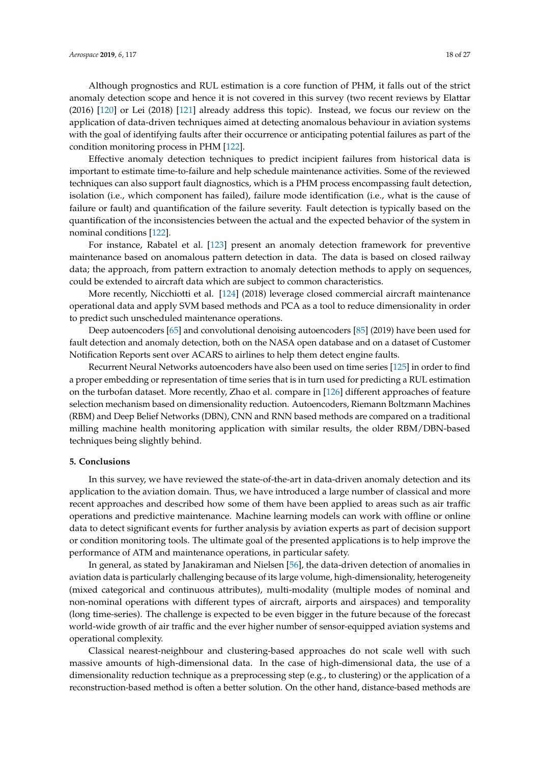Although prognostics and RUL estimation is a core function of PHM, it falls out of the strict anomaly detection scope and hence it is not covered in this survey (two recent reviews by Elattar (2016) [\[120\]](#page-25-20) or Lei (2018) [\[121\]](#page-25-21) already address this topic). Instead, we focus our review on the application of data-driven techniques aimed at detecting anomalous behaviour in aviation systems with the goal of identifying faults after their occurrence or anticipating potential failures as part of the condition monitoring process in PHM [\[122\]](#page-26-0).

Effective anomaly detection techniques to predict incipient failures from historical data is important to estimate time-to-failure and help schedule maintenance activities. Some of the reviewed techniques can also support fault diagnostics, which is a PHM process encompassing fault detection, isolation (i.e., which component has failed), failure mode identification (i.e., what is the cause of failure or fault) and quantification of the failure severity. Fault detection is typically based on the quantification of the inconsistencies between the actual and the expected behavior of the system in nominal conditions [\[122\]](#page-26-0).

For instance, Rabatel et al. [\[123\]](#page-26-1) present an anomaly detection framework for preventive maintenance based on anomalous pattern detection in data. The data is based on closed railway data; the approach, from pattern extraction to anomaly detection methods to apply on sequences, could be extended to aircraft data which are subject to common characteristics.

More recently, Nicchiotti et al. [\[124\]](#page-26-2) (2018) leverage closed commercial aircraft maintenance operational data and apply SVM based methods and PCA as a tool to reduce dimensionality in order to predict such unscheduled maintenance operations.

Deep autoencoders [\[65\]](#page-23-5) and convolutional denoising autoencoders [\[85\]](#page-24-5) (2019) have been used for fault detection and anomaly detection, both on the NASA open database and on a dataset of Customer Notification Reports sent over ACARS to airlines to help them detect engine faults.

Recurrent Neural Networks autoencoders have also been used on time series [\[125\]](#page-26-3) in order to find a proper embedding or representation of time series that is in turn used for predicting a RUL estimation on the turbofan dataset. More recently, Zhao et al. compare in [\[126\]](#page-26-4) different approaches of feature selection mechanism based on dimensionality reduction. Autoencoders, Riemann Boltzmann Machines (RBM) and Deep Belief Networks (DBN), CNN and RNN based methods are compared on a traditional milling machine health monitoring application with similar results, the older RBM/DBN-based techniques being slightly behind.

## **5. Conclusions**

In this survey, we have reviewed the state-of-the-art in data-driven anomaly detection and its application to the aviation domain. Thus, we have introduced a large number of classical and more recent approaches and described how some of them have been applied to areas such as air traffic operations and predictive maintenance. Machine learning models can work with offline or online data to detect significant events for further analysis by aviation experts as part of decision support or condition monitoring tools. The ultimate goal of the presented applications is to help improve the performance of ATM and maintenance operations, in particular safety.

In general, as stated by Janakiraman and Nielsen [\[56\]](#page-22-16), the data-driven detection of anomalies in aviation data is particularly challenging because of its large volume, high-dimensionality, heterogeneity (mixed categorical and continuous attributes), multi-modality (multiple modes of nominal and non-nominal operations with different types of aircraft, airports and airspaces) and temporality (long time-series). The challenge is expected to be even bigger in the future because of the forecast world-wide growth of air traffic and the ever higher number of sensor-equipped aviation systems and operational complexity.

Classical nearest-neighbour and clustering-based approaches do not scale well with such massive amounts of high-dimensional data. In the case of high-dimensional data, the use of a dimensionality reduction technique as a preprocessing step (e.g., to clustering) or the application of a reconstruction-based method is often a better solution. On the other hand, distance-based methods are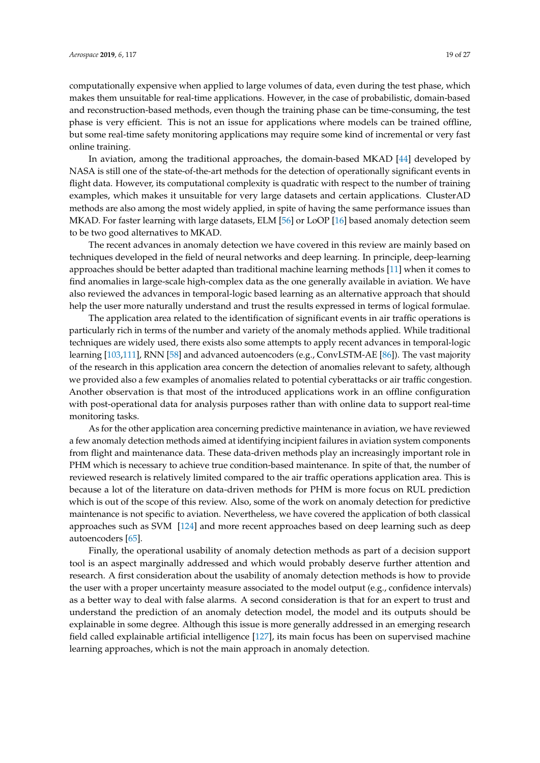computationally expensive when applied to large volumes of data, even during the test phase, which makes them unsuitable for real-time applications. However, in the case of probabilistic, domain-based and reconstruction-based methods, even though the training phase can be time-consuming, the test phase is very efficient. This is not an issue for applications where models can be trained offline, but some real-time safety monitoring applications may require some kind of incremental or very fast online training.

In aviation, among the traditional approaches, the domain-based MKAD [\[44\]](#page-22-5) developed by NASA is still one of the state-of-the-art methods for the detection of operationally significant events in flight data. However, its computational complexity is quadratic with respect to the number of training examples, which makes it unsuitable for very large datasets and certain applications. ClusterAD methods are also among the most widely applied, in spite of having the same performance issues than MKAD. For faster learning with large datasets, ELM [\[56\]](#page-22-16) or LoOP [\[16\]](#page-20-15) based anomaly detection seem to be two good alternatives to MKAD.

The recent advances in anomaly detection we have covered in this review are mainly based on techniques developed in the field of neural networks and deep learning. In principle, deep-learning approaches should be better adapted than traditional machine learning methods [\[11\]](#page-20-10) when it comes to find anomalies in large-scale high-complex data as the one generally available in aviation. We have also reviewed the advances in temporal-logic based learning as an alternative approach that should help the user more naturally understand and trust the results expressed in terms of logical formulae.

The application area related to the identification of significant events in air traffic operations is particularly rich in terms of the number and variety of the anomaly methods applied. While traditional techniques are widely used, there exists also some attempts to apply recent advances in temporal-logic learning [\[103,](#page-25-3)[111\]](#page-25-11), RNN [\[58\]](#page-22-18) and advanced autoencoders (e.g., ConvLSTM-AE [\[86\]](#page-24-6)). The vast majority of the research in this application area concern the detection of anomalies relevant to safety, although we provided also a few examples of anomalies related to potential cyberattacks or air traffic congestion. Another observation is that most of the introduced applications work in an offline configuration with post-operational data for analysis purposes rather than with online data to support real-time monitoring tasks.

As for the other application area concerning predictive maintenance in aviation, we have reviewed a few anomaly detection methods aimed at identifying incipient failures in aviation system components from flight and maintenance data. These data-driven methods play an increasingly important role in PHM which is necessary to achieve true condition-based maintenance. In spite of that, the number of reviewed research is relatively limited compared to the air traffic operations application area. This is because a lot of the literature on data-driven methods for PHM is more focus on RUL prediction which is out of the scope of this review. Also, some of the work on anomaly detection for predictive maintenance is not specific to aviation. Nevertheless, we have covered the application of both classical approaches such as SVM [\[124\]](#page-26-2) and more recent approaches based on deep learning such as deep autoencoders [\[65\]](#page-23-5).

Finally, the operational usability of anomaly detection methods as part of a decision support tool is an aspect marginally addressed and which would probably deserve further attention and research. A first consideration about the usability of anomaly detection methods is how to provide the user with a proper uncertainty measure associated to the model output (e.g., confidence intervals) as a better way to deal with false alarms. A second consideration is that for an expert to trust and understand the prediction of an anomaly detection model, the model and its outputs should be explainable in some degree. Although this issue is more generally addressed in an emerging research field called explainable artificial intelligence [\[127\]](#page-26-5), its main focus has been on supervised machine learning approaches, which is not the main approach in anomaly detection.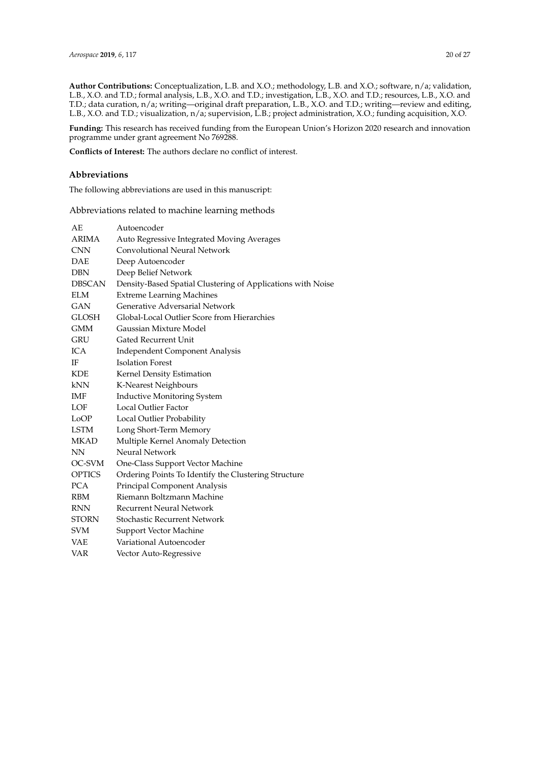**Author Contributions:** Conceptualization, L.B. and X.O.; methodology, L.B. and X.O.; software, n/a; validation, L.B., X.O. and T.D.; formal analysis, L.B., X.O. and T.D.; investigation, L.B., X.O. and T.D.; resources, L.B., X.O. and T.D.; data curation, n/a; writing—original draft preparation, L.B., X.O. and T.D.; writing—review and editing, L.B., X.O. and T.D.; visualization, n/a; supervision, L.B.; project administration, X.O.; funding acquisition, X.O.

**Funding:** This research has received funding from the European Union's Horizon 2020 research and innovation programme under grant agreement No 769288.

**Conflicts of Interest:** The authors declare no conflict of interest.

### **Abbreviations**

The following abbreviations are used in this manuscript:

Abbreviations related to machine learning methods

| AЕ            | Autoencoder                                                 |
|---------------|-------------------------------------------------------------|
| <b>ARIMA</b>  | Auto Regressive Integrated Moving Averages                  |
| <b>CNN</b>    | Convolutional Neural Network                                |
| <b>DAE</b>    | Deep Autoencoder                                            |
| <b>DBN</b>    | Deep Belief Network                                         |
| <b>DBSCAN</b> | Density-Based Spatial Clustering of Applications with Noise |
| ELM           | <b>Extreme Learning Machines</b>                            |
| <b>GAN</b>    | Generative Adversarial Network                              |
| <b>GLOSH</b>  | Global-Local Outlier Score from Hierarchies                 |
| <b>GMM</b>    | Gaussian Mixture Model                                      |
| <b>GRU</b>    | <b>Gated Recurrent Unit</b>                                 |
| <b>ICA</b>    | <b>Independent Component Analysis</b>                       |
| IF            | <b>Isolation Forest</b>                                     |
| <b>KDE</b>    | Kernel Density Estimation                                   |
| kNN           | K-Nearest Neighbours                                        |
| IMF           | <b>Inductive Monitoring System</b>                          |
| LOF           | <b>Local Outlier Factor</b>                                 |
| LoOP          | Local Outlier Probability                                   |
| <b>LSTM</b>   | Long Short-Term Memory                                      |
| <b>MKAD</b>   | Multiple Kernel Anomaly Detection                           |
| NN            | <b>Neural Network</b>                                       |
| OC-SVM        | One-Class Support Vector Machine                            |
| <b>OPTICS</b> | Ordering Points To Identify the Clustering Structure        |
| <b>PCA</b>    | Principal Component Analysis                                |
| <b>RBM</b>    | Riemann Boltzmann Machine                                   |
| <b>RNN</b>    | <b>Recurrent Neural Network</b>                             |
| <b>STORN</b>  | <b>Stochastic Recurrent Network</b>                         |
| <b>SVM</b>    | <b>Support Vector Machine</b>                               |
| <b>VAE</b>    | Variational Autoencoder                                     |
| VAR           | Vector Auto-Regressive                                      |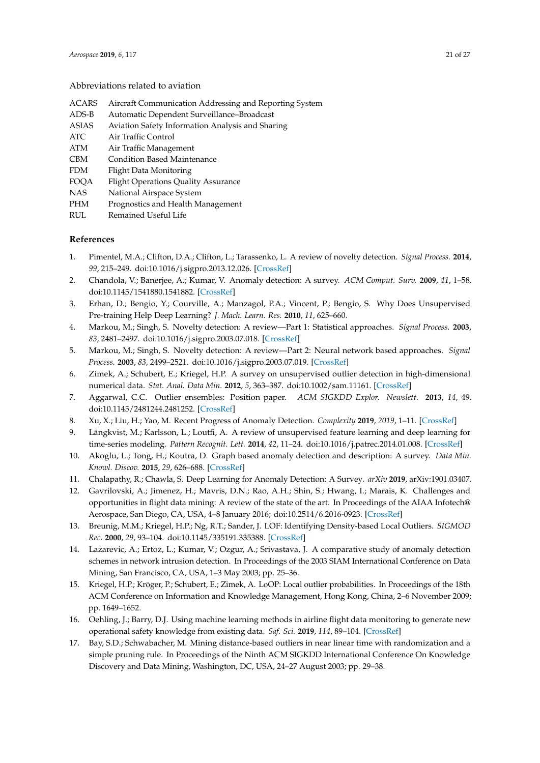# Abbreviations related to aviation

- ACARS Aircraft Communication Addressing and Reporting System
- ADS-B Automatic Dependent Surveillance–Broadcast
- ASIAS Aviation Safety Information Analysis and Sharing
- ATC Air Traffic Control
- ATM Air Traffic Management
- CBM Condition Based Maintenance
- FDM Flight Data Monitoring
- FOQA Flight Operations Quality Assurance
- NAS National Airspace System
- PHM Prognostics and Health Management
- RUL Remained Useful Life

# **References**

- <span id="page-20-0"></span>1. Pimentel, M.A.; Clifton, D.A.; Clifton, L.; Tarassenko, L. A review of novelty detection. *Signal Process.* **2014**, *99*, 215–249. doi[:10.1016/j.sigpro.2013.12.026.](https://doi.org/10.1016/j.sigpro.2013.12.026) [\[CrossRef\]](http://dx.doi.org/10.1016/j.sigpro.2013.12.026)
- <span id="page-20-1"></span>2. Chandola, V.; Banerjee, A.; Kumar, V. Anomaly detection: A survey. *ACM Comput. Surv.* **2009**, *41*, 1–58. doi[:10.1145/1541880.1541882.](https://doi.org/10.1145/1541880.1541882) [\[CrossRef\]](http://dx.doi.org/10.1145/1541880.1541882)
- <span id="page-20-2"></span>3. Erhan, D.; Bengio, Y.; Courville, A.; Manzagol, P.A.; Vincent, P.; Bengio, S. Why Does Unsupervised Pre-training Help Deep Learning? *J. Mach. Learn. Res.* **2010**, *11*, 625–660.
- <span id="page-20-3"></span>4. Markou, M.; Singh, S. Novelty detection: A review—Part 1: Statistical approaches. *Signal Process.* **2003**, *83*, 2481–2497. doi[:10.1016/j.sigpro.2003.07.018.](https://doi.org/10.1016/j.sigpro.2003.07.018) [\[CrossRef\]](http://dx.doi.org/10.1016/j.sigpro.2003.07.018)
- <span id="page-20-4"></span>5. Markou, M.; Singh, S. Novelty detection: A review—Part 2: Neural network based approaches. *Signal Process.* **2003**, *83*, 2499–2521. doi[:10.1016/j.sigpro.2003.07.019.](https://doi.org/10.1016/j.sigpro.2003.07.019) [\[CrossRef\]](http://dx.doi.org/10.1016/j.sigpro.2003.07.019)
- <span id="page-20-5"></span>6. Zimek, A.; Schubert, E.; Kriegel, H.P. A survey on unsupervised outlier detection in high-dimensional numerical data. *Stat. Anal. Data Min.* **2012**, *5*, 363–387. doi[:10.1002/sam.11161.](https://doi.org/10.1002/sam.11161) [\[CrossRef\]](http://dx.doi.org/10.1002/sam.11161)
- <span id="page-20-6"></span>7. Aggarwal, C.C. Outlier ensembles: Position paper. *ACM SIGKDD Explor. Newslett.* **2013**, *14*, 49. doi[:10.1145/2481244.2481252.](https://doi.org/10.1145/2481244.2481252) [\[CrossRef\]](http://dx.doi.org/10.1145/2481244.2481252)
- <span id="page-20-7"></span>8. Xu, X.; Liu, H.; Yao, M. Recent Progress of Anomaly Detection. *Complexity* **2019**, *2019*, 1–11. [\[CrossRef\]](http://dx.doi.org/10.1155/2019/2686378)
- <span id="page-20-8"></span>9. Längkvist, M.; Karlsson, L.; Loutfi, A. A review of unsupervised feature learning and deep learning for time-series modeling. *Pattern Recognit. Lett.* **2014**, *42*, 11–24. doi[:10.1016/j.patrec.2014.01.008.](https://doi.org/10.1016/j.patrec.2014.01.008) [\[CrossRef\]](http://dx.doi.org/10.1016/j.patrec.2014.01.008)
- <span id="page-20-9"></span>10. Akoglu, L.; Tong, H.; Koutra, D. Graph based anomaly detection and description: A survey. *Data Min. Knowl. Discov.* **2015**, *29*, 626–688. [\[CrossRef\]](http://dx.doi.org/10.1007/s10618-014-0365-y)
- <span id="page-20-10"></span>11. Chalapathy, R.; Chawla, S. Deep Learning for Anomaly Detection: A Survey. *arXiv* **2019**, arXiv:1901.03407.
- <span id="page-20-11"></span>12. Gavrilovski, A.; Jimenez, H.; Mavris, D.N.; Rao, A.H.; Shin, S.; Hwang, I.; Marais, K. Challenges and opportunities in flight data mining: A review of the state of the art. In Proceedings of the AIAA Infotech@ Aerospace, San Diego, CA, USA, 4–8 January 2016; doi[:10.2514/6.2016-0923.](https://doi.org/10.2514/6.2016-0923) [\[CrossRef\]](http://dx.doi.org/10.2514/6.2016-0923)
- <span id="page-20-12"></span>13. Breunig, M.M.; Kriegel, H.P.; Ng, R.T.; Sander, J. LOF: Identifying Density-based Local Outliers. *SIGMOD Rec.* **2000**, *29*, 93–104. doi[:10.1145/335191.335388.](https://doi.org/10.1145/335191.335388) [\[CrossRef\]](http://dx.doi.org/10.1145/335191.335388)
- <span id="page-20-13"></span>14. Lazarevic, A.; Ertoz, L.; Kumar, V.; Ozgur, A.; Srivastava, J. A comparative study of anomaly detection schemes in network intrusion detection. In Proceedings of the 2003 SIAM International Conference on Data Mining, San Francisco, CA, USA, 1–3 May 2003; pp. 25–36.
- <span id="page-20-14"></span>15. Kriegel, H.P.; Kröger, P.; Schubert, E.; Zimek, A. LoOP: Local outlier probabilities. In Proceedings of the 18th ACM Conference on Information and Knowledge Management, Hong Kong, China, 2–6 November 2009; pp. 1649–1652.
- <span id="page-20-15"></span>16. Oehling, J.; Barry, D.J. Using machine learning methods in airline flight data monitoring to generate new operational safety knowledge from existing data. *Saf. Sci.* **2019**, *114*, 89–104. [\[CrossRef\]](http://dx.doi.org/10.1016/j.ssci.2018.12.018)
- <span id="page-20-16"></span>17. Bay, S.D.; Schwabacher, M. Mining distance-based outliers in near linear time with randomization and a simple pruning rule. In Proceedings of the Ninth ACM SIGKDD International Conference On Knowledge Discovery and Data Mining, Washington, DC, USA, 24–27 August 2003; pp. 29–38.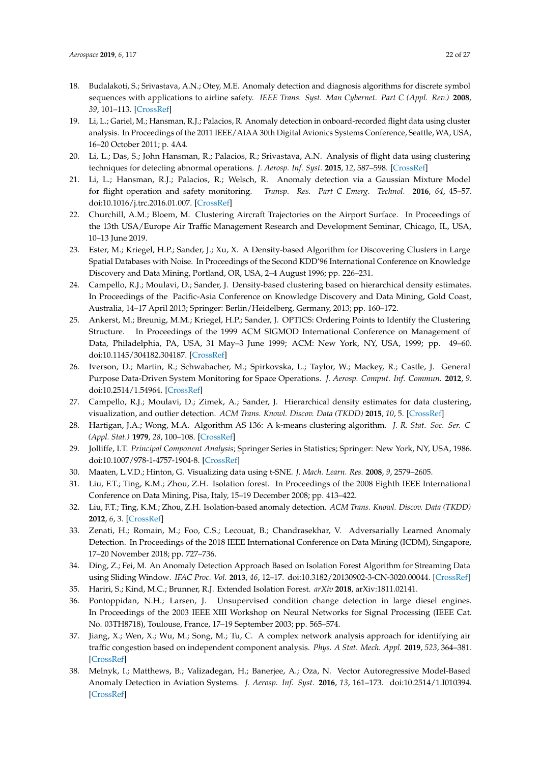- <span id="page-21-0"></span>18. Budalakoti, S.; Srivastava, A.N.; Otey, M.E. Anomaly detection and diagnosis algorithms for discrete symbol sequences with applications to airline safety. *IEEE Trans. Syst. Man Cybernet. Part C (Appl. Rev.)* **2008**, *39*, 101–113. [\[CrossRef\]](http://dx.doi.org/10.1109/TSMCC.2008.2007248)
- <span id="page-21-18"></span>19. Li, L.; Gariel, M.; Hansman, R.J.; Palacios, R. Anomaly detection in onboard-recorded flight data using cluster analysis. In Proceedings of the 2011 IEEE/AIAA 30th Digital Avionics Systems Conference, Seattle, WA, USA, 16–20 October 2011; p. 4A4.
- <span id="page-21-19"></span>20. Li, L.; Das, S.; John Hansman, R.; Palacios, R.; Srivastava, A.N. Analysis of flight data using clustering techniques for detecting abnormal operations. *J. Aerosp. Inf. Syst.* **2015**, *12*, 587–598. [\[CrossRef\]](http://dx.doi.org/10.2514/1.I010329)
- <span id="page-21-20"></span>21. Li, L.; Hansman, R.J.; Palacios, R.; Welsch, R. Anomaly detection via a Gaussian Mixture Model for flight operation and safety monitoring. *Transp. Res. Part C Emerg. Technol.* **2016**, *64*, 45–57. doi[:10.1016/j.trc.2016.01.007.](https://doi.org/10.1016/j.trc.2016.01.007) [\[CrossRef\]](http://dx.doi.org/10.1016/j.trc.2016.01.007)
- <span id="page-21-1"></span>22. Churchill, A.M.; Bloem, M. Clustering Aircraft Trajectories on the Airport Surface. In Proceedings of the 13th USA/Europe Air Traffic Management Research and Development Seminar, Chicago, IL, USA, 10–13 June 2019.
- <span id="page-21-2"></span>23. Ester, M.; Kriegel, H.P.; Sander, J.; Xu, X. A Density-based Algorithm for Discovering Clusters in Large Spatial Databases with Noise. In Proceedings of the Second KDD'96 International Conference on Knowledge Discovery and Data Mining, Portland, OR, USA, 2–4 August 1996; pp. 226–231.
- <span id="page-21-3"></span>24. Campello, R.J.; Moulavi, D.; Sander, J. Density-based clustering based on hierarchical density estimates. In Proceedings of the Pacific-Asia Conference on Knowledge Discovery and Data Mining, Gold Coast, Australia, 14–17 April 2013; Springer: Berlin/Heidelberg, Germany, 2013; pp. 160–172.
- <span id="page-21-4"></span>25. Ankerst, M.; Breunig, M.M.; Kriegel, H.P.; Sander, J. OPTICS: Ordering Points to Identify the Clustering Structure. In Proceedings of the 1999 ACM SIGMOD International Conference on Management of Data, Philadelphia, PA, USA, 31 May–3 June 1999; ACM: New York, NY, USA, 1999; pp. 49–60. doi[:10.1145/304182.304187.](https://doi.org/10.1145/304182.304187) [\[CrossRef\]](http://dx.doi.org/10.1145/304182.304187)
- <span id="page-21-5"></span>26. Iverson, D.; Martin, R.; Schwabacher, M.; Spirkovska, L.; Taylor, W.; Mackey, R.; Castle, J. General Purpose Data-Driven System Monitoring for Space Operations. *J. Aerosp. Comput. Inf. Commun.* **2012**, *9*. doi[:10.2514/1.54964.](https://doi.org/10.2514/1.54964) [\[CrossRef\]](http://dx.doi.org/10.2514/1.54964)
- <span id="page-21-6"></span>27. Campello, R.J.; Moulavi, D.; Zimek, A.; Sander, J. Hierarchical density estimates for data clustering, visualization, and outlier detection. *ACM Trans. Knowl. Discov. Data (TKDD)* **2015**, *10*, 5. [\[CrossRef\]](http://dx.doi.org/10.1145/2733381)
- <span id="page-21-7"></span>28. Hartigan, J.A.; Wong, M.A. Algorithm AS 136: A k-means clustering algorithm. *J. R. Stat. Soc. Ser. C (Appl. Stat.)* **1979**, *28*, 100–108. [\[CrossRef\]](http://dx.doi.org/10.2307/2346830)
- <span id="page-21-8"></span>29. Jolliffe, I.T. *Principal Component Analysis*; Springer Series in Statistics; Springer: New York, NY, USA, 1986. doi[:10.1007/978-1-4757-1904-8.](https://doi.org/10.1007/978-1-4757-1904-8) [\[CrossRef\]](http://dx.doi.org/10.1007/978-1-4757-1904-8)
- <span id="page-21-9"></span>30. Maaten, L.V.D.; Hinton, G. Visualizing data using t-SNE. *J. Mach. Learn. Res.* **2008**, *9*, 2579–2605.
- <span id="page-21-10"></span>31. Liu, F.T.; Ting, K.M.; Zhou, Z.H. Isolation forest. In Proceedings of the 2008 Eighth IEEE International Conference on Data Mining, Pisa, Italy, 15–19 December 2008; pp. 413–422.
- <span id="page-21-11"></span>32. Liu, F.T.; Ting, K.M.; Zhou, Z.H. Isolation-based anomaly detection. *ACM Trans. Knowl. Discov. Data (TKDD)* **2012**, *6*, 3. [\[CrossRef\]](http://dx.doi.org/10.1145/2133360.2133363)
- <span id="page-21-12"></span>33. Zenati, H.; Romain, M.; Foo, C.S.; Lecouat, B.; Chandrasekhar, V. Adversarially Learned Anomaly Detection. In Proceedings of the 2018 IEEE International Conference on Data Mining (ICDM), Singapore, 17–20 November 2018; pp. 727–736.
- <span id="page-21-13"></span>34. Ding, Z.; Fei, M. An Anomaly Detection Approach Based on Isolation Forest Algorithm for Streaming Data using Sliding Window. *IFAC Proc. Vol.* **2013**, *46*, 12–17. doi[:10.3182/20130902-3-CN-3020.00044.](https://doi.org/10.3182/20130902-3-CN-3020.00044) [\[CrossRef\]](http://dx.doi.org/10.3182/20130902-3-CN-3020.00044)
- <span id="page-21-14"></span>35. Hariri, S.; Kind, M.C.; Brunner, R.J. Extended Isolation Forest. *arXiv* **2018**, arXiv:1811.02141.
- <span id="page-21-15"></span>36. Pontoppidan, N.H.; Larsen, J. Unsupervised condition change detection in large diesel engines. In Proceedings of the 2003 IEEE XIII Workshop on Neural Networks for Signal Processing (IEEE Cat. No. 03TH8718), Toulouse, France, 17–19 September 2003; pp. 565–574.
- <span id="page-21-16"></span>37. Jiang, X.; Wen, X.; Wu, M.; Song, M.; Tu, C. A complex network analysis approach for identifying air traffic congestion based on independent component analysis. *Phys. A Stat. Mech. Appl.* **2019**, *523*, 364–381. [\[CrossRef\]](http://dx.doi.org/10.1016/j.physa.2019.01.129)
- <span id="page-21-17"></span>38. Melnyk, I.; Matthews, B.; Valizadegan, H.; Banerjee, A.; Oza, N. Vector Autoregressive Model-Based Anomaly Detection in Aviation Systems. *J. Aerosp. Inf. Syst.* **2016**, *13*, 161–173. doi[:10.2514/1.I010394.](https://doi.org/10.2514/1.I010394) [\[CrossRef\]](http://dx.doi.org/10.2514/1.I010394)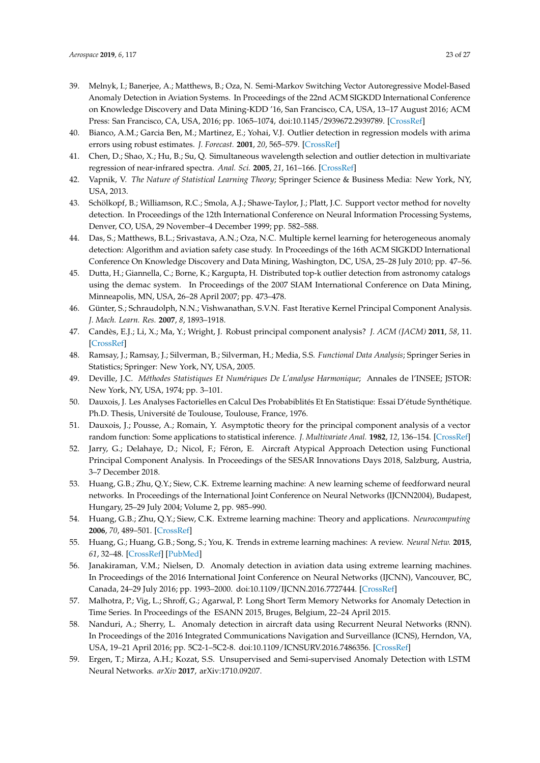- <span id="page-22-0"></span>39. Melnyk, I.; Banerjee, A.; Matthews, B.; Oza, N. Semi-Markov Switching Vector Autoregressive Model-Based Anomaly Detection in Aviation Systems. In Proceedings of the 22nd ACM SIGKDD International Conference on Knowledge Discovery and Data Mining-KDD '16, San Francisco, CA, USA, 13–17 August 2016; ACM Press: San Francisco, CA, USA, 2016; pp. 1065–1074, doi[:10.1145/2939672.2939789.](https://doi.org/10.1145/2939672.2939789) [\[CrossRef\]](http://dx.doi.org/10.1145/2939672.2939789)
- <span id="page-22-1"></span>40. Bianco, A.M.; Garcia Ben, M.; Martinez, E.; Yohai, V.J. Outlier detection in regression models with arima errors using robust estimates. *J. Forecast.* **2001**, *20*, 565–579. [\[CrossRef\]](http://dx.doi.org/10.1002/for.768)
- <span id="page-22-2"></span>41. Chen, D.; Shao, X.; Hu, B.; Su, Q. Simultaneous wavelength selection and outlier detection in multivariate regression of near-infrared spectra. *Anal. Sci.* **2005**, *21*, 161–166. [\[CrossRef\]](http://dx.doi.org/10.2116/analsci.21.161)
- <span id="page-22-3"></span>42. Vapnik, V. *The Nature of Statistical Learning Theory*; Springer Science & Business Media: New York, NY, USA, 2013.
- <span id="page-22-4"></span>43. Schölkopf, B.; Williamson, R.C.; Smola, A.J.; Shawe-Taylor, J.; Platt, J.C. Support vector method for novelty detection. In Proceedings of the 12th International Conference on Neural Information Processing Systems, Denver, CO, USA, 29 November–4 December 1999; pp. 582–588.
- <span id="page-22-5"></span>44. Das, S.; Matthews, B.L.; Srivastava, A.N.; Oza, N.C. Multiple kernel learning for heterogeneous anomaly detection: Algorithm and aviation safety case study. In Proceedings of the 16th ACM SIGKDD International Conference On Knowledge Discovery and Data Mining, Washington, DC, USA, 25–28 July 2010; pp. 47–56.
- <span id="page-22-6"></span>45. Dutta, H.; Giannella, C.; Borne, K.; Kargupta, H. Distributed top-k outlier detection from astronomy catalogs using the demac system. In Proceedings of the 2007 SIAM International Conference on Data Mining, Minneapolis, MN, USA, 26–28 April 2007; pp. 473–478.
- <span id="page-22-7"></span>46. Günter, S.; Schraudolph, N.N.; Vishwanathan, S.V.N. Fast Iterative Kernel Principal Component Analysis. *J. Mach. Learn. Res.* **2007**, *8*, 1893–1918.
- <span id="page-22-8"></span>47. Candès, E.J.; Li, X.; Ma, Y.; Wright, J. Robust principal component analysis? *J. ACM (JACM)* **2011**, *58*, 11. [\[CrossRef\]](http://dx.doi.org/10.1145/1970392.1970395)
- <span id="page-22-9"></span>48. Ramsay, J.; Ramsay, J.; Silverman, B.; Silverman, H.; Media, S.S. *Functional Data Analysis*; Springer Series in Statistics; Springer: New York, NY, USA, 2005.
- <span id="page-22-10"></span>49. Deville, J.C. *Méthodes Statistiques Et Numériques De L'analyse Harmonique*; Annales de l'INSEE; JSTOR: New York, NY, USA, 1974; pp. 3–101.
- 50. Dauxois, J. Les Analyses Factorielles en Calcul Des Probabiblités Et En Statistique: Essai D'étude Synthétique. Ph.D. Thesis, Université de Toulouse, Toulouse, France, 1976.
- <span id="page-22-11"></span>51. Dauxois, J.; Pousse, A.; Romain, Y. Asymptotic theory for the principal component analysis of a vector random function: Some applications to statistical inference. *J. Multivariate Anal.* **1982**, *12*, 136–154. [\[CrossRef\]](http://dx.doi.org/10.1016/0047-259X(82)90088-4)
- <span id="page-22-12"></span>52. Jarry, G.; Delahaye, D.; Nicol, F.; Féron, E. Aircraft Atypical Approach Detection using Functional Principal Component Analysis. In Proceedings of the SESAR Innovations Days 2018, Salzburg, Austria, 3–7 December 2018.
- <span id="page-22-13"></span>53. Huang, G.B.; Zhu, Q.Y.; Siew, C.K. Extreme learning machine: A new learning scheme of feedforward neural networks. In Proceedings of the International Joint Conference on Neural Networks (IJCNN2004), Budapest, Hungary, 25–29 July 2004; Volume 2, pp. 985–990.
- <span id="page-22-14"></span>54. Huang, G.B.; Zhu, Q.Y.; Siew, C.K. Extreme learning machine: Theory and applications. *Neurocomputing* **2006**, *70*, 489–501. [\[CrossRef\]](http://dx.doi.org/10.1016/j.neucom.2005.12.126)
- <span id="page-22-15"></span>55. Huang, G.; Huang, G.B.; Song, S.; You, K. Trends in extreme learning machines: A review. *Neural Netw.* **2015**, *61*, 32–48. [\[CrossRef\]](http://dx.doi.org/10.1016/j.neunet.2014.10.001) [\[PubMed\]](http://www.ncbi.nlm.nih.gov/pubmed/25462632)
- <span id="page-22-16"></span>56. Janakiraman, V.M.; Nielsen, D. Anomaly detection in aviation data using extreme learning machines. In Proceedings of the 2016 International Joint Conference on Neural Networks (IJCNN), Vancouver, BC, Canada, 24–29 July 2016; pp. 1993–2000. doi[:10.1109/IJCNN.2016.7727444.](https://doi.org/10.1109/IJCNN.2016.7727444) [\[CrossRef\]](http://dx.doi.org/10.1109/IJCNN.2016.7727444)
- <span id="page-22-17"></span>57. Malhotra, P.; Vig, L.; Shroff, G.; Agarwal, P. Long Short Term Memory Networks for Anomaly Detection in Time Series. In Proceedings of the ESANN 2015, Bruges, Belgium, 22–24 April 2015.
- <span id="page-22-18"></span>58. Nanduri, A.; Sherry, L. Anomaly detection in aircraft data using Recurrent Neural Networks (RNN). In Proceedings of the 2016 Integrated Communications Navigation and Surveillance (ICNS), Herndon, VA, USA, 19–21 April 2016; pp. 5C2-1–5C2-8. doi[:10.1109/ICNSURV.2016.7486356.](https://doi.org/10.1109/ICNSURV.2016.7486356) [\[CrossRef\]](http://dx.doi.org/10.1109/ICNSURV.2016.7486356)
- <span id="page-22-19"></span>59. Ergen, T.; Mirza, A.H.; Kozat, S.S. Unsupervised and Semi-supervised Anomaly Detection with LSTM Neural Networks. *arXiv* **2017**, arXiv:1710.09207.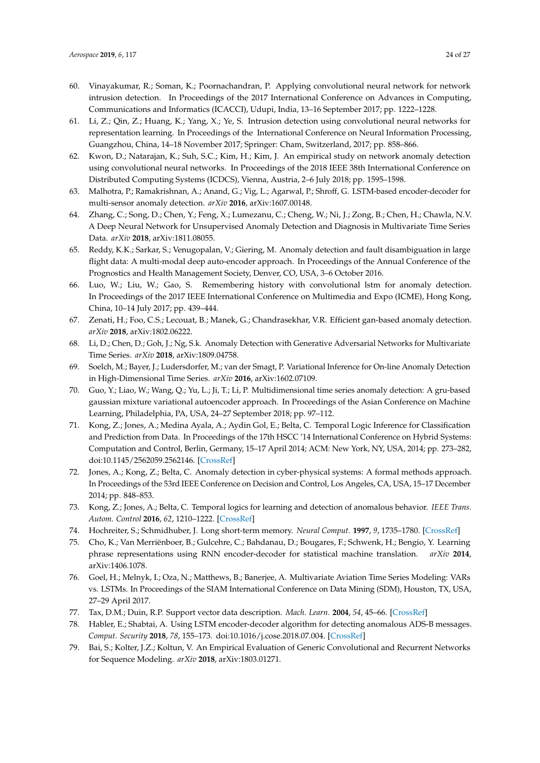- <span id="page-23-0"></span>60. Vinayakumar, R.; Soman, K.; Poornachandran, P. Applying convolutional neural network for network intrusion detection. In Proceedings of the 2017 International Conference on Advances in Computing, Communications and Informatics (ICACCI), Udupi, India, 13–16 September 2017; pp. 1222–1228.
- <span id="page-23-1"></span>61. Li, Z.; Qin, Z.; Huang, K.; Yang, X.; Ye, S. Intrusion detection using convolutional neural networks for representation learning. In Proceedings of the International Conference on Neural Information Processing, Guangzhou, China, 14–18 November 2017; Springer: Cham, Switzerland, 2017; pp. 858–866.
- <span id="page-23-2"></span>62. Kwon, D.; Natarajan, K.; Suh, S.C.; Kim, H.; Kim, J. An empirical study on network anomaly detection using convolutional neural networks. In Proceedings of the 2018 IEEE 38th International Conference on Distributed Computing Systems (ICDCS), Vienna, Austria, 2–6 July 2018; pp. 1595–1598.
- <span id="page-23-3"></span>63. Malhotra, P.; Ramakrishnan, A.; Anand, G.; Vig, L.; Agarwal, P.; Shroff, G. LSTM-based encoder-decoder for multi-sensor anomaly detection. *arXiv* **2016**, arXiv:1607.00148.
- <span id="page-23-4"></span>64. Zhang, C.; Song, D.; Chen, Y.; Feng, X.; Lumezanu, C.; Cheng, W.; Ni, J.; Zong, B.; Chen, H.; Chawla, N.V. A Deep Neural Network for Unsupervised Anomaly Detection and Diagnosis in Multivariate Time Series Data. *arXiv* **2018**, arXiv:1811.08055.
- <span id="page-23-5"></span>65. Reddy, K.K.; Sarkar, S.; Venugopalan, V.; Giering, M. Anomaly detection and fault disambiguation in large flight data: A multi-modal deep auto-encoder approach. In Proceedings of the Annual Conference of the Prognostics and Health Management Society, Denver, CO, USA, 3–6 October 2016.
- <span id="page-23-6"></span>66. Luo, W.; Liu, W.; Gao, S. Remembering history with convolutional lstm for anomaly detection. In Proceedings of the 2017 IEEE International Conference on Multimedia and Expo (ICME), Hong Kong, China, 10–14 July 2017; pp. 439–444.
- <span id="page-23-7"></span>67. Zenati, H.; Foo, C.S.; Lecouat, B.; Manek, G.; Chandrasekhar, V.R. Efficient gan-based anomaly detection. *arXiv* **2018**, arXiv:1802.06222.
- <span id="page-23-8"></span>68. Li, D.; Chen, D.; Goh, J.; Ng, S.k. Anomaly Detection with Generative Adversarial Networks for Multivariate Time Series. *arXiv* **2018**, arXiv:1809.04758.
- <span id="page-23-9"></span>69. Soelch, M.; Bayer, J.; Ludersdorfer, M.; van der Smagt, P. Variational Inference for On-line Anomaly Detection in High-Dimensional Time Series. *arXiv* **2016**, arXiv:1602.07109.
- <span id="page-23-10"></span>70. Guo, Y.; Liao, W.; Wang, Q.; Yu, L.; Ji, T.; Li, P. Multidimensional time series anomaly detection: A gru-based gaussian mixture variational autoencoder approach. In Proceedings of the Asian Conference on Machine Learning, Philadelphia, PA, USA, 24–27 September 2018; pp. 97–112.
- <span id="page-23-11"></span>71. Kong, Z.; Jones, A.; Medina Ayala, A.; Aydin Gol, E.; Belta, C. Temporal Logic Inference for Classification and Prediction from Data. In Proceedings of the 17th HSCC '14 International Conference on Hybrid Systems: Computation and Control, Berlin, Germany, 15–17 April 2014; ACM: New York, NY, USA, 2014; pp. 273–282, doi[:10.1145/2562059.2562146.](https://doi.org/10.1145/2562059.2562146) [\[CrossRef\]](http://dx.doi.org/10.1145/2562059.2562146)
- <span id="page-23-12"></span>72. Jones, A.; Kong, Z.; Belta, C. Anomaly detection in cyber-physical systems: A formal methods approach. In Proceedings of the 53rd IEEE Conference on Decision and Control, Los Angeles, CA, USA, 15–17 December 2014; pp. 848–853.
- <span id="page-23-13"></span>73. Kong, Z.; Jones, A.; Belta, C. Temporal logics for learning and detection of anomalous behavior. *IEEE Trans. Autom. Control* **2016**, *62*, 1210–1222. [\[CrossRef\]](http://dx.doi.org/10.1109/TAC.2016.2585083)
- <span id="page-23-14"></span>74. Hochreiter, S.; Schmidhuber, J. Long short-term memory. *Neural Comput.* **1997**, *9*, 1735–1780. [\[CrossRef\]](http://dx.doi.org/10.1162/neco.1997.9.8.1735)
- <span id="page-23-15"></span>75. Cho, K.; Van Merriënboer, B.; Gulcehre, C.; Bahdanau, D.; Bougares, F.; Schwenk, H.; Bengio, Y. Learning phrase representations using RNN encoder-decoder for statistical machine translation. *arXiv* **2014**, arXiv:1406.1078.
- <span id="page-23-16"></span>76. Goel, H.; Melnyk, I.; Oza, N.; Matthews, B.; Banerjee, A. Multivariate Aviation Time Series Modeling: VARs vs. LSTMs. In Proceedings of the SIAM International Conference on Data Mining (SDM), Houston, TX, USA, 27–29 April 2017.
- <span id="page-23-17"></span>77. Tax, D.M.; Duin, R.P. Support vector data description. *Mach. Learn.* **2004**, *54*, 45–66. [\[CrossRef\]](http://dx.doi.org/10.1023/B:MACH.0000008084.60811.49)
- <span id="page-23-18"></span>78. Habler, E.; Shabtai, A. Using LSTM encoder-decoder algorithm for detecting anomalous ADS-B messages. *Comput. Security* **2018**, *78*, 155–173. doi[:10.1016/j.cose.2018.07.004.](https://doi.org/10.1016/j.cose.2018.07.004) [\[CrossRef\]](http://dx.doi.org/10.1016/j.cose.2018.07.004)
- <span id="page-23-19"></span>79. Bai, S.; Kolter, J.Z.; Koltun, V. An Empirical Evaluation of Generic Convolutional and Recurrent Networks for Sequence Modeling. *arXiv* **2018**, arXiv:1803.01271.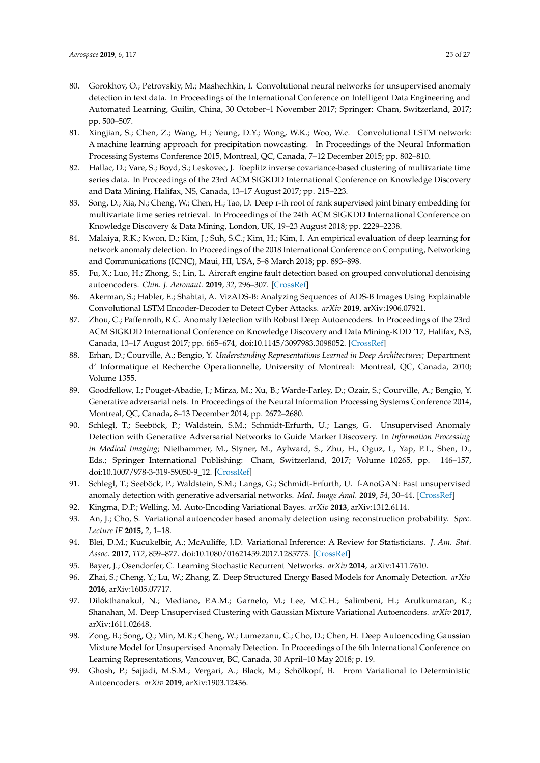- <span id="page-24-0"></span>80. Gorokhov, O.; Petrovskiy, M.; Mashechkin, I. Convolutional neural networks for unsupervised anomaly detection in text data. In Proceedings of the International Conference on Intelligent Data Engineering and Automated Learning, Guilin, China, 30 October–1 November 2017; Springer: Cham, Switzerland, 2017; pp. 500–507.
- <span id="page-24-1"></span>81. Xingjian, S.; Chen, Z.; Wang, H.; Yeung, D.Y.; Wong, W.K.; Woo, W.c. Convolutional LSTM network: A machine learning approach for precipitation nowcasting. In Proceedings of the Neural Information Processing Systems Conference 2015, Montreal, QC, Canada, 7–12 December 2015; pp. 802–810.
- <span id="page-24-2"></span>82. Hallac, D.; Vare, S.; Boyd, S.; Leskovec, J. Toeplitz inverse covariance-based clustering of multivariate time series data. In Proceedings of the 23rd ACM SIGKDD International Conference on Knowledge Discovery and Data Mining, Halifax, NS, Canada, 13–17 August 2017; pp. 215–223.
- <span id="page-24-3"></span>83. Song, D.; Xia, N.; Cheng, W.; Chen, H.; Tao, D. Deep r-th root of rank supervised joint binary embedding for multivariate time series retrieval. In Proceedings of the 24th ACM SIGKDD International Conference on Knowledge Discovery & Data Mining, London, UK, 19–23 August 2018; pp. 2229–2238.
- <span id="page-24-4"></span>84. Malaiya, R.K.; Kwon, D.; Kim, J.; Suh, S.C.; Kim, H.; Kim, I. An empirical evaluation of deep learning for network anomaly detection. In Proceedings of the 2018 International Conference on Computing, Networking and Communications (ICNC), Maui, HI, USA, 5–8 March 2018; pp. 893–898.
- <span id="page-24-5"></span>85. Fu, X.; Luo, H.; Zhong, S.; Lin, L. Aircraft engine fault detection based on grouped convolutional denoising autoencoders. *Chin. J. Aeronaut.* **2019**, *32*, 296–307. [\[CrossRef\]](http://dx.doi.org/10.1016/j.cja.2018.12.011)
- <span id="page-24-6"></span>86. Akerman, S.; Habler, E.; Shabtai, A. VizADS-B: Analyzing Sequences of ADS-B Images Using Explainable Convolutional LSTM Encoder-Decoder to Detect Cyber Attacks. *arXiv* **2019**, arXiv:1906.07921.
- <span id="page-24-7"></span>87. Zhou, C.; Paffenroth, R.C. Anomaly Detection with Robust Deep Autoencoders. In Proceedings of the 23rd ACM SIGKDD International Conference on Knowledge Discovery and Data Mining-KDD '17, Halifax, NS, Canada, 13–17 August 2017; pp. 665–674, doi[:10.1145/3097983.3098052.](https://doi.org/10.1145/3097983.3098052) [\[CrossRef\]](http://dx.doi.org/10.1145/3097983.3098052)
- <span id="page-24-8"></span>88. Erhan, D.; Courville, A.; Bengio, Y. *Understanding Representations Learned in Deep Architectures*; Department d' Informatique et Recherche Operationnelle, University of Montreal: Montreal, QC, Canada, 2010; Volume 1355.
- <span id="page-24-9"></span>89. Goodfellow, I.; Pouget-Abadie, J.; Mirza, M.; Xu, B.; Warde-Farley, D.; Ozair, S.; Courville, A.; Bengio, Y. Generative adversarial nets. In Proceedings of the Neural Information Processing Systems Conference 2014, Montreal, QC, Canada, 8–13 December 2014; pp. 2672–2680.
- <span id="page-24-10"></span>90. Schlegl, T.; Seeböck, P.; Waldstein, S.M.; Schmidt-Erfurth, U.; Langs, G. Unsupervised Anomaly Detection with Generative Adversarial Networks to Guide Marker Discovery. In *Information Processing in Medical Imaging*; Niethammer, M., Styner, M., Aylward, S., Zhu, H., Oguz, I., Yap, P.T., Shen, D., Eds.; Springer International Publishing: Cham, Switzerland, 2017; Volume 10265, pp. 146–157, doi[:10.1007/978-3-319-59050-9\\_12.](https://doi.org/10.1007/978-3-319-59050-9_12) [\[CrossRef\]](http://dx.doi.org/10.1007/978-3-319-59050-9_12)
- <span id="page-24-11"></span>91. Schlegl, T.; Seeböck, P.; Waldstein, S.M.; Langs, G.; Schmidt-Erfurth, U. f-AnoGAN: Fast unsupervised anomaly detection with generative adversarial networks. *Med. Image Anal.* **2019**, *54*, 30–44. [\[CrossRef\]](http://dx.doi.org/10.1016/j.media.2019.01.010)
- <span id="page-24-12"></span>92. Kingma, D.P.; Welling, M. Auto-Encoding Variational Bayes. *arXiv* **2013**, arXiv:1312.6114.
- <span id="page-24-13"></span>93. An, J.; Cho, S. Variational autoencoder based anomaly detection using reconstruction probability. *Spec. Lecture IE* **2015**, *2*, 1–18.
- <span id="page-24-14"></span>94. Blei, D.M.; Kucukelbir, A.; McAuliffe, J.D. Variational Inference: A Review for Statisticians. *J. Am. Stat. Assoc.* **2017**, *112*, 859–877. doi[:10.1080/01621459.2017.1285773.](https://doi.org/10.1080/01621459.2017.1285773) [\[CrossRef\]](http://dx.doi.org/10.1080/01621459.2017.1285773)
- <span id="page-24-15"></span>95. Bayer, J.; Osendorfer, C. Learning Stochastic Recurrent Networks. *arXiv* **2014**, arXiv:1411.7610.
- <span id="page-24-16"></span>96. Zhai, S.; Cheng, Y.; Lu, W.; Zhang, Z. Deep Structured Energy Based Models for Anomaly Detection. *arXiv* **2016**, arXiv:1605.07717.
- <span id="page-24-17"></span>97. Dilokthanakul, N.; Mediano, P.A.M.; Garnelo, M.; Lee, M.C.H.; Salimbeni, H.; Arulkumaran, K.; Shanahan, M. Deep Unsupervised Clustering with Gaussian Mixture Variational Autoencoders. *arXiv* **2017**, arXiv:1611.02648.
- <span id="page-24-18"></span>98. Zong, B.; Song, Q.; Min, M.R.; Cheng, W.; Lumezanu, C.; Cho, D.; Chen, H. Deep Autoencoding Gaussian Mixture Model for Unsupervised Anomaly Detection. In Proceedings of the 6th International Conference on Learning Representations, Vancouver, BC, Canada, 30 April–10 May 2018; p. 19.
- <span id="page-24-19"></span>99. Ghosh, P.; Sajjadi, M.S.M.; Vergari, A.; Black, M.; Schölkopf, B. From Variational to Deterministic Autoencoders. *arXiv* **2019**, arXiv:1903.12436.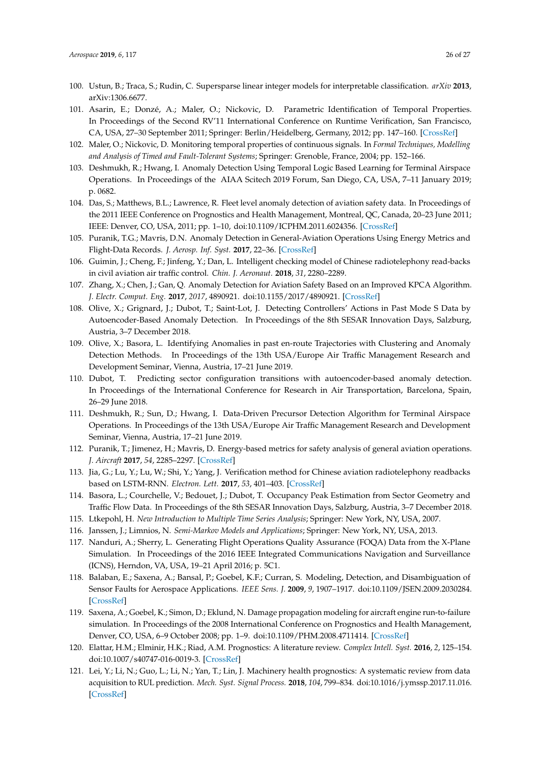- <span id="page-25-0"></span>100. Ustun, B.; Traca, S.; Rudin, C. Supersparse linear integer models for interpretable classification. *arXiv* **2013**, arXiv:1306.6677.
- <span id="page-25-1"></span>101. Asarin, E.; Donzé, A.; Maler, O.; Nickovic, D. Parametric Identification of Temporal Properties. In Proceedings of the Second RV'11 International Conference on Runtime Verification, San Francisco, CA, USA, 27–30 September 2011; Springer: Berlin/Heidelberg, Germany, 2012; pp. 147–160. [\[CrossRef\]](http://dx.doi.org/10.1007/978-3-642-29860-8_12)
- <span id="page-25-2"></span>102. Maler, O.; Nickovic, D. Monitoring temporal properties of continuous signals. In *Formal Techniques, Modelling and Analysis of Timed and Fault-Tolerant Systems*; Springer: Grenoble, France, 2004; pp. 152–166.
- <span id="page-25-3"></span>103. Deshmukh, R.; Hwang, I. Anomaly Detection Using Temporal Logic Based Learning for Terminal Airspace Operations. In Proceedings of the AIAA Scitech 2019 Forum, San Diego, CA, USA, 7–11 January 2019; p. 0682.
- <span id="page-25-4"></span>104. Das, S.; Matthews, B.L.; Lawrence, R. Fleet level anomaly detection of aviation safety data. In Proceedings of the 2011 IEEE Conference on Prognostics and Health Management, Montreal, QC, Canada, 20–23 June 2011; IEEE: Denver, CO, USA, 2011; pp. 1–10, doi[:10.1109/ICPHM.2011.6024356.](https://doi.org/10.1109/ICPHM.2011.6024356) [\[CrossRef\]](http://dx.doi.org/10.1109/ICPHM.2011.6024356)
- <span id="page-25-5"></span>105. Puranik, T.G.; Mavris, D.N. Anomaly Detection in General-Aviation Operations Using Energy Metrics and Flight-Data Records. *J. Aerosp. Inf. Syst.* **2017**, 22–36. [\[CrossRef\]](http://dx.doi.org/10.2514/1.I010582)
- <span id="page-25-6"></span>106. Guimin, J.; Cheng, F.; Jinfeng, Y.; Dan, L. Intelligent checking model of Chinese radiotelephony read-backs in civil aviation air traffic control. *Chin. J. Aeronaut.* **2018**, *31*, 2280–2289.
- <span id="page-25-7"></span>107. Zhang, X.; Chen, J.; Gan, Q. Anomaly Detection for Aviation Safety Based on an Improved KPCA Algorithm. *J. Electr. Comput. Eng.* **2017**, *2017*, 4890921. doi[:10.1155/2017/4890921.](https://doi.org/10.1155/2017/4890921) [\[CrossRef\]](http://dx.doi.org/10.1155/2017/4890921)
- <span id="page-25-8"></span>108. Olive, X.; Grignard, J.; Dubot, T.; Saint-Lot, J. Detecting Controllers' Actions in Past Mode S Data by Autoencoder-Based Anomaly Detection. In Proceedings of the 8th SESAR Innovation Days, Salzburg, Austria, 3–7 December 2018.
- <span id="page-25-9"></span>109. Olive, X.; Basora, L. Identifying Anomalies in past en-route Trajectories with Clustering and Anomaly Detection Methods. In Proceedings of the 13th USA/Europe Air Traffic Management Research and Development Seminar, Vienna, Austria, 17–21 June 2019.
- <span id="page-25-10"></span>110. Dubot, T. Predicting sector configuration transitions with autoencoder-based anomaly detection. In Proceedings of the International Conference for Research in Air Transportation, Barcelona, Spain, 26–29 June 2018.
- <span id="page-25-11"></span>111. Deshmukh, R.; Sun, D.; Hwang, I. Data-Driven Precursor Detection Algorithm for Terminal Airspace Operations. In Proceedings of the 13th USA/Europe Air Traffic Management Research and Development Seminar, Vienna, Austria, 17–21 June 2019.
- <span id="page-25-12"></span>112. Puranik, T.; Jimenez, H.; Mavris, D. Energy-based metrics for safety analysis of general aviation operations. *J. Aircraft* **2017**, *54*, 2285–2297. [\[CrossRef\]](http://dx.doi.org/10.2514/1.C034196)
- <span id="page-25-13"></span>113. Jia, G.; Lu, Y.; Lu, W.; Shi, Y.; Yang, J. Verification method for Chinese aviation radiotelephony readbacks based on LSTM-RNN. *Electron. Lett.* **2017**, *53*, 401–403. [\[CrossRef\]](http://dx.doi.org/10.1049/el.2016.2877)
- <span id="page-25-14"></span>114. Basora, L.; Courchelle, V.; Bedouet, J.; Dubot, T. Occupancy Peak Estimation from Sector Geometry and Traffic Flow Data. In Proceedings of the 8th SESAR Innovation Days, Salzburg, Austria, 3–7 December 2018.
- <span id="page-25-15"></span>115. Ltkepohl, H. *New Introduction to Multiple Time Series Analysis*; Springer: New York, NY, USA, 2007.
- <span id="page-25-16"></span>116. Janssen, J.; Limnios, N. *Semi-Markov Models and Applications*; Springer: New York, NY, USA, 2013.
- <span id="page-25-17"></span>117. Nanduri, A.; Sherry, L. Generating Flight Operations Quality Assurance (FOQA) Data from the X-Plane Simulation. In Proceedings of the 2016 IEEE Integrated Communications Navigation and Surveillance (ICNS), Herndon, VA, USA, 19–21 April 2016; p. 5C1.
- <span id="page-25-18"></span>118. Balaban, E.; Saxena, A.; Bansal, P.; Goebel, K.F.; Curran, S. Modeling, Detection, and Disambiguation of Sensor Faults for Aerospace Applications. *IEEE Sens. J.* **2009**, *9*, 1907–1917. doi[:10.1109/JSEN.2009.2030284.](https://doi.org/10.1109/JSEN.2009.2030284) [\[CrossRef\]](http://dx.doi.org/10.1109/JSEN.2009.2030284)
- <span id="page-25-19"></span>119. Saxena, A.; Goebel, K.; Simon, D.; Eklund, N. Damage propagation modeling for aircraft engine run-to-failure simulation. In Proceedings of the 2008 International Conference on Prognostics and Health Management, Denver, CO, USA, 6–9 October 2008; pp. 1–9. doi[:10.1109/PHM.2008.4711414.](https://doi.org/10.1109/PHM.2008.4711414) [\[CrossRef\]](http://dx.doi.org/10.1109/PHM.2008.4711414)
- <span id="page-25-20"></span>120. Elattar, H.M.; Elminir, H.K.; Riad, A.M. Prognostics: A literature review. *Complex Intell. Syst.* **2016**, *2*, 125–154. doi[:10.1007/s40747-016-0019-3.](https://doi.org/10.1007/s40747-016-0019-3) [\[CrossRef\]](http://dx.doi.org/10.1007/s40747-016-0019-3)
- <span id="page-25-21"></span>121. Lei, Y.; Li, N.; Guo, L.; Li, N.; Yan, T.; Lin, J. Machinery health prognostics: A systematic review from data acquisition to RUL prediction. *Mech. Syst. Signal Process.* **2018**, *104*, 799–834. doi[:10.1016/j.ymssp.2017.11.016.](https://doi.org/10.1016/j.ymssp.2017.11.016) [\[CrossRef\]](http://dx.doi.org/10.1016/j.ymssp.2017.11.016)